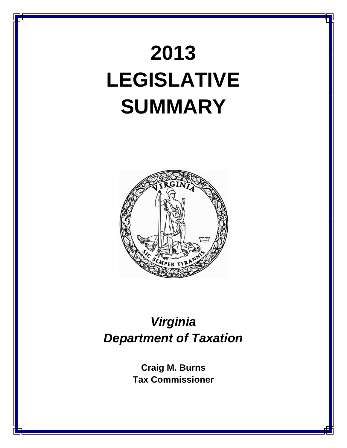# **2013 LEGISLATIVE SUMMARY**



# *Virginia Department of Taxation*

**Craig M. Burns Tax Commissioner**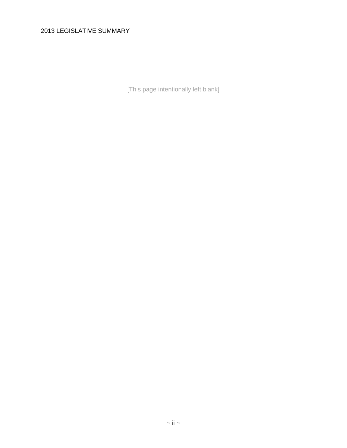[This page intentionally left blank]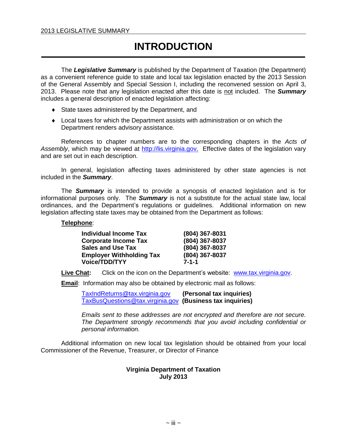# **INTRODUCTION**

The *Legislative Summary* is published by the Department of Taxation (the Department) as a convenient reference guide to state and local tax legislation enacted by the 2013 Session of the General Assembly and Special Session I, including the reconvened session on April 3, 2013. Please note that any legislation enacted after this date is not included. The *Summary* includes a general description of enacted legislation affecting:

- ◆ State taxes administered by the Department, and
- Local taxes for which the Department assists with administration or on which the Department renders advisory assistance.

References to chapter numbers are to the corresponding chapters in the *Acts of Assembly*, which may be viewed at [http://lis.virginia.gov.](http://lis.virginia.gov/) Effective dates of the legislation vary and are set out in each description.

In general, legislation affecting taxes administered by other state agencies is not included in the *Summary*.

The *Summary* is intended to provide a synopsis of enacted legislation and is for informational purposes only. The *Summary* is not a substitute for the actual state law, local ordinances, and the Department's regulations or guidelines. Additional information on new legislation affecting state taxes may be obtained from the Department as follows:

#### **Telephone**:

| <b>Individual Income Tax</b>    | (804) 367-8031 |
|---------------------------------|----------------|
| <b>Corporate Income Tax</b>     | (804) 367-8037 |
| <b>Sales and Use Tax</b>        | (804) 367-8037 |
| <b>Employer Withholding Tax</b> | (804) 367-8037 |
| Voice/TDD/TYY                   | $7 - 1 - 1$    |

Live Chat: Click on the icon on the Department's website: [www.tax.virginia.gov.](http://www.tax.virginia.gov/)

**Email**: Information may also be obtained by electronic mail as follows:

[TaxIndReturns@tax.virginia.gov](mailto:TaxIndReturns@tax.virginia.gov) **(Personal tax inquiries)** [TaxBusQuestions@tax.virginia.gov](mailto:TaxBusQuestions@tax.virginia.gov) **(Business tax inquiries)**

*Emails sent to these addresses are not encrypted and therefore are not secure. The Department strongly recommends that you avoid including confidential or personal information.*

Additional information on new local tax legislation should be obtained from your local Commissioner of the Revenue, Treasurer, or Director of Finance

#### **Virginia Department of Taxation July 2013**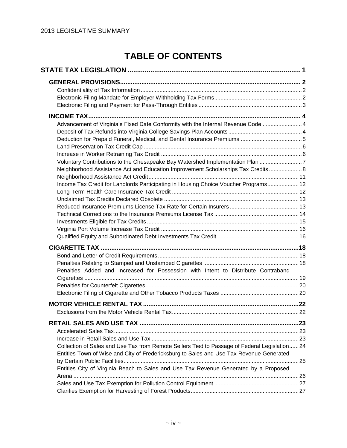# **TABLE OF CONTENTS**

| Advancement of Virginia's Fixed Date Conformity with the Internal Revenue Code  4            |  |
|----------------------------------------------------------------------------------------------|--|
|                                                                                              |  |
|                                                                                              |  |
|                                                                                              |  |
|                                                                                              |  |
| Voluntary Contributions to the Chesapeake Bay Watershed Implementation Plan 7                |  |
| Neighborhood Assistance Act and Education Improvement Scholarships Tax Credits 8             |  |
|                                                                                              |  |
| Income Tax Credit for Landlords Participating in Housing Choice Voucher Programs 12          |  |
|                                                                                              |  |
|                                                                                              |  |
|                                                                                              |  |
|                                                                                              |  |
|                                                                                              |  |
|                                                                                              |  |
|                                                                                              |  |
|                                                                                              |  |
|                                                                                              |  |
|                                                                                              |  |
| Penalties Added and Increased for Possession with Intent to Distribute Contraband            |  |
|                                                                                              |  |
|                                                                                              |  |
|                                                                                              |  |
|                                                                                              |  |
|                                                                                              |  |
|                                                                                              |  |
|                                                                                              |  |
|                                                                                              |  |
|                                                                                              |  |
| Collection of Sales and Use Tax from Remote Sellers Tied to Passage of Federal Legislation24 |  |
| Entitles Town of Wise and City of Fredericksburg to Sales and Use Tax Revenue Generated      |  |
|                                                                                              |  |
| Entitles City of Virginia Beach to Sales and Use Tax Revenue Generated by a Proposed         |  |
|                                                                                              |  |
|                                                                                              |  |
|                                                                                              |  |
|                                                                                              |  |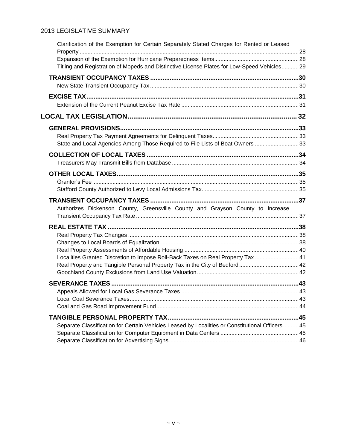# 2013 LEGISLATIVE SUMMARY

| Clarification of the Exemption for Certain Separately Stated Charges for Rented or Leased       |  |
|-------------------------------------------------------------------------------------------------|--|
|                                                                                                 |  |
| Titling and Registration of Mopeds and Distinctive License Plates for Low-Speed Vehicles 29     |  |
|                                                                                                 |  |
|                                                                                                 |  |
|                                                                                                 |  |
|                                                                                                 |  |
|                                                                                                 |  |
|                                                                                                 |  |
|                                                                                                 |  |
| State and Local Agencies Among Those Required to File Lists of Boat Owners 33                   |  |
|                                                                                                 |  |
|                                                                                                 |  |
|                                                                                                 |  |
|                                                                                                 |  |
|                                                                                                 |  |
|                                                                                                 |  |
| Authorizes Dickenson County, Greensville County and Grayson County to Increase                  |  |
|                                                                                                 |  |
|                                                                                                 |  |
|                                                                                                 |  |
|                                                                                                 |  |
| Localities Granted Discretion to Impose Roll-Back Taxes on Real Property Tax  41                |  |
|                                                                                                 |  |
|                                                                                                 |  |
|                                                                                                 |  |
|                                                                                                 |  |
|                                                                                                 |  |
|                                                                                                 |  |
| Separate Classification for Certain Vehicles Leased by Localities or Constitutional Officers 45 |  |
|                                                                                                 |  |
|                                                                                                 |  |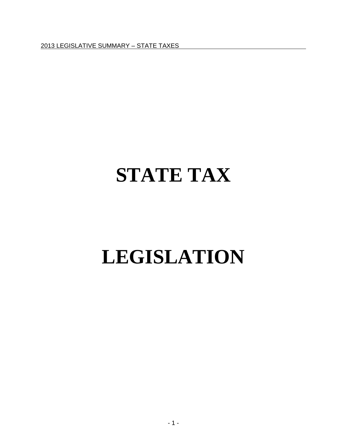# <span id="page-5-0"></span>**STATE TAX**

# **LEGISLATION**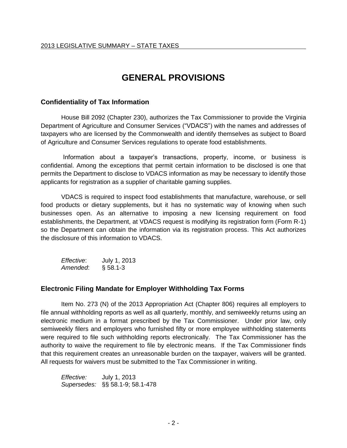# **GENERAL PROVISIONS**

## <span id="page-6-1"></span><span id="page-6-0"></span>**Confidentiality of Tax Information**

House Bill 2092 (Chapter 230), authorizes the Tax Commissioner to provide the Virginia Department of Agriculture and Consumer Services ("VDACS") with the names and addresses of taxpayers who are licensed by the Commonwealth and identify themselves as subject to Board of Agriculture and Consumer Services regulations to operate food establishments.

Information about a taxpayer's transactions, property, income, or business is confidential. Among the exceptions that permit certain information to be disclosed is one that permits the Department to disclose to VDACS information as may be necessary to identify those applicants for registration as a supplier of charitable gaming supplies.

VDACS is required to inspect food establishments that manufacture, warehouse, or sell food products or dietary supplements, but it has no systematic way of knowing when such businesses open. As an alternative to imposing a new licensing requirement on food establishments, the Department, at VDACS request is modifying its registration form (Form R-1) so the Department can obtain the information via its registration process. This Act authorizes the disclosure of this information to VDACS.

*Effective*: July 1, 2013 *Amended*: § 58.1-3

## <span id="page-6-2"></span>**Electronic Filing Mandate for Employer Withholding Tax Forms**

Item No. 273 (N) of the 2013 Appropriation Act (Chapter 806) requires all employers to file annual withholding reports as well as all quarterly, monthly, and semiweekly returns using an electronic medium in a format prescribed by the Tax Commissioner. Under prior law, only semiweekly filers and employers who furnished fifty or more employee withholding statements were required to file such withholding reports electronically. The Tax Commissioner has the authority to waive the requirement to file by electronic means. If the Tax Commissioner finds that this requirement creates an unreasonable burden on the taxpayer, waivers will be granted. All requests for waivers must be submitted to the Tax Commissioner in writing.

*Effective:* July 1, 2013 *Supersedes:* §§ 58.1-9; 58.1-478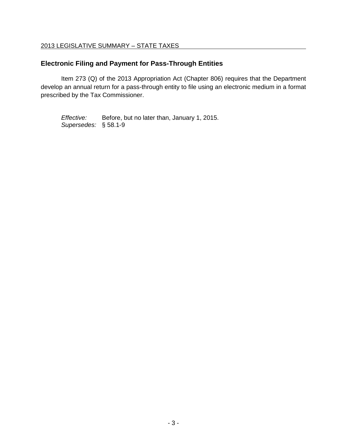# <span id="page-7-0"></span>**Electronic Filing and Payment for Pass-Through Entities**

Item 273 (Q) of the 2013 Appropriation Act (Chapter 806) requires that the Department develop an annual return for a pass-through entity to file using an electronic medium in a format prescribed by the Tax Commissioner.

*Effective:* Before, but no later than, January 1, 2015. *Supersedes:* § 58.1-9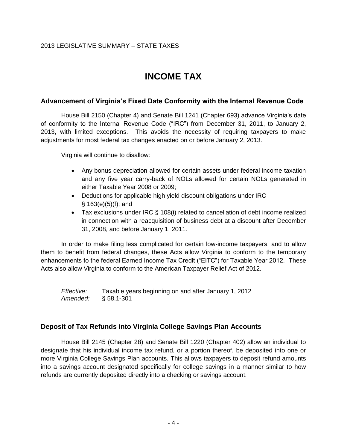# **INCOME TAX**

# <span id="page-8-1"></span><span id="page-8-0"></span>**Advancement of Virginia's Fixed Date Conformity with the Internal Revenue Code**

House Bill 2150 (Chapter 4) and Senate Bill 1241 (Chapter 693) advance Virginia's date of conformity to the Internal Revenue Code ("IRC") from December 31, 2011, to January 2, 2013, with limited exceptions. This avoids the necessity of requiring taxpayers to make adjustments for most federal tax changes enacted on or before January 2, 2013.

Virginia will continue to disallow:

- Any bonus depreciation allowed for certain assets under federal income taxation and any five year carry-back of NOLs allowed for certain NOLs generated in either Taxable Year 2008 or 2009;
- Deductions for applicable high yield discount obligations under IRC § 163(e)(5)(f); and
- Tax exclusions under IRC § 108(i) related to cancellation of debt income realized in connection with a reacquisition of business debt at a discount after December 31, 2008, and before January 1, 2011.

In order to make filing less complicated for certain low-income taxpayers, and to allow them to benefit from federal changes, these Acts allow Virginia to conform to the temporary enhancements to the federal Earned Income Tax Credit ("EITC") for Taxable Year 2012. These Acts also allow Virginia to conform to the American Taxpayer Relief Act of 2012.

*Effective:* Taxable years beginning on and after January 1, 2012 *Amended:* § 58.1-301

## <span id="page-8-2"></span>**Deposit of Tax Refunds into Virginia College Savings Plan Accounts**

House Bill 2145 (Chapter 28) and Senate Bill 1220 (Chapter 402) allow an individual to designate that his individual income tax refund, or a portion thereof, be deposited into one or more Virginia College Savings Plan accounts. This allows taxpayers to deposit refund amounts into a savings account designated specifically for college savings in a manner similar to how refunds are currently deposited directly into a checking or savings account.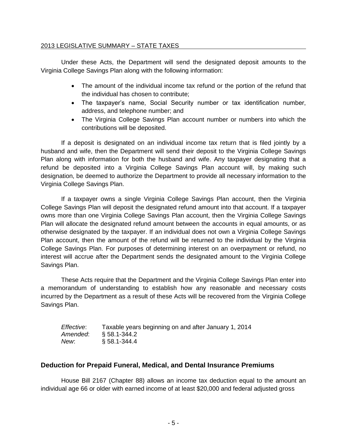Under these Acts, the Department will send the designated deposit amounts to the Virginia College Savings Plan along with the following information:

- The amount of the individual income tax refund or the portion of the refund that the individual has chosen to contribute;
- The taxpayer's name, Social Security number or tax identification number, address, and telephone number; and
- The Virginia College Savings Plan account number or numbers into which the contributions will be deposited.

If a deposit is designated on an individual income tax return that is filed jointly by a husband and wife, then the Department will send their deposit to the Virginia College Savings Plan along with information for both the husband and wife. Any taxpayer designating that a refund be deposited into a Virginia College Savings Plan account will, by making such designation, be deemed to authorize the Department to provide all necessary information to the Virginia College Savings Plan.

If a taxpayer owns a single Virginia College Savings Plan account, then the Virginia College Savings Plan will deposit the designated refund amount into that account. If a taxpayer owns more than one Virginia College Savings Plan account, then the Virginia College Savings Plan will allocate the designated refund amount between the accounts in equal amounts, or as otherwise designated by the taxpayer. If an individual does not own a Virginia College Savings Plan account, then the amount of the refund will be returned to the individual by the Virginia College Savings Plan. For purposes of determining interest on an overpayment or refund, no interest will accrue after the Department sends the designated amount to the Virginia College Savings Plan.

These Acts require that the Department and the Virginia College Savings Plan enter into a memorandum of understanding to establish how any reasonable and necessary costs incurred by the Department as a result of these Acts will be recovered from the Virginia College Savings Plan.

| <i>Effective:</i> | Taxable years beginning on and after January 1, 2014 |
|-------------------|------------------------------------------------------|
| Amended:          | § 58.1-344.2                                         |
| New:              | $\S$ 58.1-344.4                                      |

## <span id="page-9-0"></span>**Deduction for Prepaid Funeral, Medical, and Dental Insurance Premiums**

House Bill 2167 (Chapter 88) allows an income tax deduction equal to the amount an individual age 66 or older with earned income of at least \$20,000 and federal adjusted gross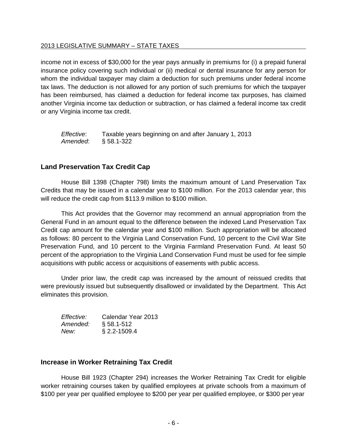income not in excess of \$30,000 for the year pays annually in premiums for (i) a prepaid funeral insurance policy covering such individual or (ii) medical or dental insurance for any person for whom the individual taxpayer may claim a deduction for such premiums under federal income tax laws. The deduction is not allowed for any portion of such premiums for which the taxpayer has been reimbursed, has claimed a deduction for federal income tax purposes, has claimed another Virginia income tax deduction or subtraction, or has claimed a federal income tax credit or any Virginia income tax credit.

*Effective*: Taxable years beginning on and after January 1, 2013 *Amended*: § 58.1-322

### <span id="page-10-0"></span>**Land Preservation Tax Credit Cap**

House Bill 1398 (Chapter 798) limits the maximum amount of Land Preservation Tax Credits that may be issued in a calendar year to \$100 million. For the 2013 calendar year, this will reduce the credit cap from \$113.9 million to \$100 million.

This Act provides that the Governor may recommend an annual appropriation from the General Fund in an amount equal to the difference between the indexed Land Preservation Tax Credit cap amount for the calendar year and \$100 million. Such appropriation will be allocated as follows: 80 percent to the Virginia Land Conservation Fund, 10 percent to the Civil War Site Preservation Fund, and 10 percent to the Virginia Farmland Preservation Fund. At least 50 percent of the appropriation to the Virginia Land Conservation Fund must be used for fee simple acquisitions with public access or acquisitions of easements with public access.

Under prior law, the credit cap was increased by the amount of reissued credits that were previously issued but subsequently disallowed or invalidated by the Department. This Act eliminates this provision.

*Effective:* Calendar Year 2013 *Amended:* § 58.1-512 *New:* § 2.2-1509.4

#### <span id="page-10-1"></span>**Increase in Worker Retraining Tax Credit**

House Bill 1923 (Chapter 294) increases the Worker Retraining Tax Credit for eligible worker retraining courses taken by qualified employees at private schools from a maximum of \$100 per year per qualified employee to \$200 per year per qualified employee, or \$300 per year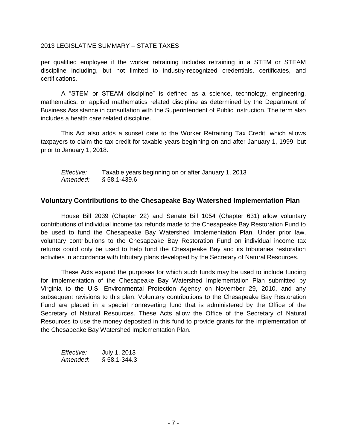per qualified employee if the worker retraining includes retraining in a STEM or STEAM discipline including, but not limited to industry-recognized credentials, certificates, and certifications.

A "STEM or STEAM discipline" is defined as a science, technology, engineering, mathematics, or applied mathematics related discipline as determined by the Department of Business Assistance in consultation with the Superintendent of Public Instruction. The term also includes a health care related discipline.

This Act also adds a sunset date to the Worker Retraining Tax Credit, which allows taxpayers to claim the tax credit for taxable years beginning on and after January 1, 1999, but prior to January 1, 2018.

*Effective:* Taxable years beginning on or after January 1, 2013 *Amended:* § 58.1-439.6

### <span id="page-11-0"></span>**Voluntary Contributions to the Chesapeake Bay Watershed Implementation Plan**

House Bill 2039 (Chapter 22) and Senate Bill 1054 (Chapter 631) allow voluntary contributions of individual income tax refunds made to the Chesapeake Bay Restoration Fund to be used to fund the Chesapeake Bay Watershed Implementation Plan. Under prior law, voluntary contributions to the Chesapeake Bay Restoration Fund on individual income tax returns could only be used to help fund the Chesapeake Bay and its tributaries restoration activities in accordance with tributary plans developed by the Secretary of Natural Resources.

These Acts expand the purposes for which such funds may be used to include funding for implementation of the Chesapeake Bay Watershed Implementation Plan submitted by Virginia to the U.S. Environmental Protection Agency on November 29, 2010, and any subsequent revisions to this plan. Voluntary contributions to the Chesapeake Bay Restoration Fund are placed in a special nonreverting fund that is administered by the Office of the Secretary of Natural Resources. These Acts allow the Office of the Secretary of Natural Resources to use the money deposited in this fund to provide grants for the implementation of the Chesapeake Bay Watershed Implementation Plan.

*Effective:* July 1, 2013 *Amended*: § 58.1-344.3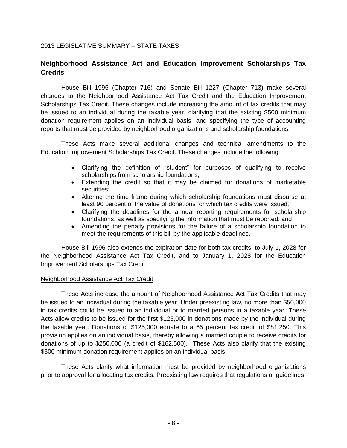# <span id="page-12-0"></span>**Neighborhood Assistance Act and Education Improvement Scholarships Tax Credits**

House Bill 1996 (Chapter 716) and Senate Bill 1227 (Chapter 713) make several changes to the Neighborhood Assistance Act Tax Credit and the Education Improvement Scholarships Tax Credit. These changes include increasing the amount of tax credits that may be issued to an individual during the taxable year, clarifying that the existing \$500 minimum donation requirement applies on an individual basis, and specifying the type of accounting reports that must be provided by neighborhood organizations and scholarship foundations.

These Acts make several additional changes and technical amendments to the Education Improvement Scholarships Tax Credit. These changes include the following:

- Clarifying the definition of "student" for purposes of qualifying to receive scholarships from scholarship foundations;
- Extending the credit so that it may be claimed for donations of marketable securities;
- Altering the time frame during which scholarship foundations must disburse at least 90 percent of the value of donations for which tax credits were issued;
- Clarifying the deadlines for the annual reporting requirements for scholarship foundations, as well as specifying the information that must be reported; and
- Amending the penalty provisions for the failure of a scholarship foundation to meet the requirements of this bill by the applicable deadlines.

House Bill 1996 also extends the expiration date for both tax credits, to July 1, 2028 for the Neighborhood Assistance Act Tax Credit, and to January 1, 2028 for the Education Improvement Scholarships Tax Credit.

#### Neighborhood Assistance Act Tax Credit

These Acts increase the amount of Neighborhood Assistance Act Tax Credits that may be issued to an individual during the taxable year. Under preexisting law, no more than \$50,000 in tax credits could be issued to an individual or to married persons in a taxable year. These Acts allow credits to be issued for the first \$125,000 in donations made by the individual during the taxable year. Donations of \$125,000 equate to a 65 percent tax credit of \$81,250. This provision applies on an individual basis, thereby allowing a married couple to receive credits for donations of up to \$250,000 (a credit of \$162,500). These Acts also clarify that the existing \$500 minimum donation requirement applies on an individual basis.

These Acts clarify what information must be provided by neighborhood organizations prior to approval for allocating tax credits. Preexisting law requires that regulations or guidelines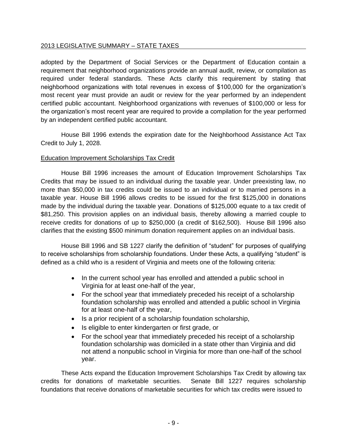adopted by the Department of Social Services or the Department of Education contain a requirement that neighborhood organizations provide an annual audit, review, or compilation as required under federal standards. These Acts clarify this requirement by stating that neighborhood organizations with total revenues in excess of \$100,000 for the organization's most recent year must provide an audit or review for the year performed by an independent certified public accountant. Neighborhood organizations with revenues of \$100,000 or less for the organization's most recent year are required to provide a compilation for the year performed by an independent certified public accountant.

House Bill 1996 extends the expiration date for the Neighborhood Assistance Act Tax Credit to July 1, 2028.

#### Education Improvement Scholarships Tax Credit

House Bill 1996 increases the amount of Education Improvement Scholarships Tax Credits that may be issued to an individual during the taxable year. Under preexisting law, no more than \$50,000 in tax credits could be issued to an individual or to married persons in a taxable year. House Bill 1996 allows credits to be issued for the first \$125,000 in donations made by the individual during the taxable year. Donations of \$125,000 equate to a tax credit of \$81,250. This provision applies on an individual basis, thereby allowing a married couple to receive credits for donations of up to \$250,000 (a credit of \$162,500). House Bill 1996 also clarifies that the existing \$500 minimum donation requirement applies on an individual basis.

House Bill 1996 and SB 1227 clarify the definition of "student" for purposes of qualifying to receive scholarships from scholarship foundations. Under these Acts, a qualifying "student" is defined as a child who is a resident of Virginia and meets one of the following criteria:

- In the current school year has enrolled and attended a public school in Virginia for at least one-half of the year,
- For the school year that immediately preceded his receipt of a scholarship foundation scholarship was enrolled and attended a public school in Virginia for at least one-half of the year,
- Is a prior recipient of a scholarship foundation scholarship,
- Is eligible to enter kindergarten or first grade, or
- For the school year that immediately preceded his receipt of a scholarship foundation scholarship was domiciled in a state other than Virginia and did not attend a nonpublic school in Virginia for more than one-half of the school year.

These Acts expand the Education Improvement Scholarships Tax Credit by allowing tax credits for donations of marketable securities. Senate Bill 1227 requires scholarship foundations that receive donations of marketable securities for which tax credits were issued to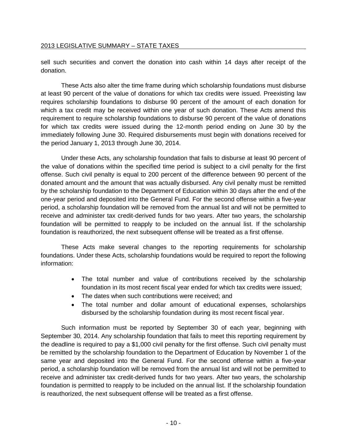sell such securities and convert the donation into cash within 14 days after receipt of the donation.

These Acts also alter the time frame during which scholarship foundations must disburse at least 90 percent of the value of donations for which tax credits were issued. Preexisting law requires scholarship foundations to disburse 90 percent of the amount of each donation for which a tax credit may be received within one year of such donation. These Acts amend this requirement to require scholarship foundations to disburse 90 percent of the value of donations for which tax credits were issued during the 12-month period ending on June 30 by the immediately following June 30. Required disbursements must begin with donations received for the period January 1, 2013 through June 30, 2014.

Under these Acts, any scholarship foundation that fails to disburse at least 90 percent of the value of donations within the specified time period is subject to a civil penalty for the first offense. Such civil penalty is equal to 200 percent of the difference between 90 percent of the donated amount and the amount that was actually disbursed. Any civil penalty must be remitted by the scholarship foundation to the Department of Education within 30 days after the end of the one-year period and deposited into the General Fund. For the second offense within a five-year period, a scholarship foundation will be removed from the annual list and will not be permitted to receive and administer tax credit-derived funds for two years. After two years, the scholarship foundation will be permitted to reapply to be included on the annual list. If the scholarship foundation is reauthorized, the next subsequent offense will be treated as a first offense.

These Acts make several changes to the reporting requirements for scholarship foundations. Under these Acts, scholarship foundations would be required to report the following information:

- The total number and value of contributions received by the scholarship foundation in its most recent fiscal year ended for which tax credits were issued;
- The dates when such contributions were received; and
- The total number and dollar amount of educational expenses, scholarships disbursed by the scholarship foundation during its most recent fiscal year.

Such information must be reported by September 30 of each year, beginning with September 30, 2014. Any scholarship foundation that fails to meet this reporting requirement by the deadline is required to pay a \$1,000 civil penalty for the first offense. Such civil penalty must be remitted by the scholarship foundation to the Department of Education by November 1 of the same year and deposited into the General Fund. For the second offense within a five-year period, a scholarship foundation will be removed from the annual list and will not be permitted to receive and administer tax credit-derived funds for two years. After two years, the scholarship foundation is permitted to reapply to be included on the annual list. If the scholarship foundation is reauthorized, the next subsequent offense will be treated as a first offense.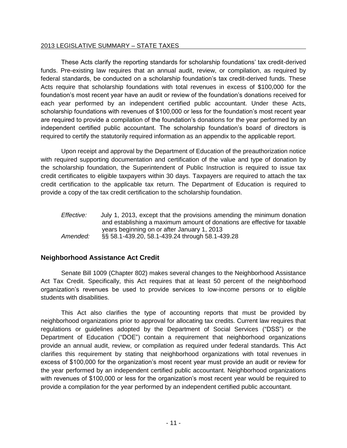These Acts clarify the reporting standards for scholarship foundations' tax credit-derived funds. Pre-existing law requires that an annual audit, review, or compilation, as required by federal standards, be conducted on a scholarship foundation's tax credit-derived funds. These Acts require that scholarship foundations with total revenues in excess of \$100,000 for the foundation's most recent year have an audit or review of the foundation's donations received for each year performed by an independent certified public accountant. Under these Acts, scholarship foundations with revenues of \$100,000 or less for the foundation's most recent year are required to provide a compilation of the foundation's donations for the year performed by an independent certified public accountant. The scholarship foundation's board of directors is required to certify the statutorily required information as an appendix to the applicable report.

Upon receipt and approval by the Department of Education of the preauthorization notice with required supporting documentation and certification of the value and type of donation by the scholarship foundation, the Superintendent of Public Instruction is required to issue tax credit certificates to eligible taxpayers within 30 days. Taxpayers are required to attach the tax credit certification to the applicable tax return. The Department of Education is required to provide a copy of the tax credit certification to the scholarship foundation.

| Effective: | July 1, 2013, except that the provisions amending the minimum donation   |
|------------|--------------------------------------------------------------------------|
|            | and establishing a maximum amount of donations are effective for taxable |
|            | years beginning on or after January 1, 2013                              |
| Amended:   | §§ 58.1-439.20, 58.1-439.24 through 58.1-439.28                          |

## <span id="page-15-0"></span>**Neighborhood Assistance Act Credit**

Senate Bill 1009 (Chapter 802) makes several changes to the Neighborhood Assistance Act Tax Credit. Specifically, this Act requires that at least 50 percent of the neighborhood organization's revenues be used to provide services to low-income persons or to eligible students with disabilities.

This Act also clarifies the type of accounting reports that must be provided by neighborhood organizations prior to approval for allocating tax credits. Current law requires that regulations or guidelines adopted by the Department of Social Services ("DSS") or the Department of Education ("DOE") contain a requirement that neighborhood organizations provide an annual audit, review, or compilation as required under federal standards. This Act clarifies this requirement by stating that neighborhood organizations with total revenues in excess of \$100,000 for the organization's most recent year must provide an audit or review for the year performed by an independent certified public accountant. Neighborhood organizations with revenues of \$100,000 or less for the organization's most recent year would be required to provide a compilation for the year performed by an independent certified public accountant.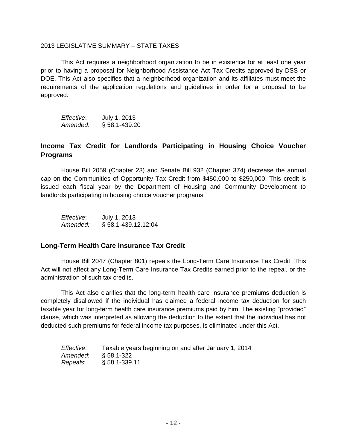This Act requires a neighborhood organization to be in existence for at least one year prior to having a proposal for Neighborhood Assistance Act Tax Credits approved by DSS or DOE. This Act also specifies that a neighborhood organization and its affiliates must meet the requirements of the application regulations and guidelines in order for a proposal to be approved.

*Effective*: July 1, 2013 *Amended*: § 58.1-439.20

# <span id="page-16-0"></span>**Income Tax Credit for Landlords Participating in Housing Choice Voucher Programs**

House Bill 2059 (Chapter 23) and Senate Bill 932 (Chapter 374) decrease the annual cap on the Communities of Opportunity Tax Credit from \$450,000 to \$250,000. This credit is issued each fiscal year by the Department of Housing and Community Development to landlords participating in housing choice voucher programs.

| <i>Effective:</i> | July 1, 2013        |
|-------------------|---------------------|
| Amended:          | § 58.1-439.12.12:04 |

## <span id="page-16-1"></span>**Long-Term Health Care Insurance Tax Credit**

House Bill 2047 (Chapter 801) repeals the Long-Term Care Insurance Tax Credit. This Act will not affect any Long-Term Care Insurance Tax Credits earned prior to the repeal, or the administration of such tax credits.

This Act also clarifies that the long-term health care insurance premiums deduction is completely disallowed if the individual has claimed a federal income tax deduction for such taxable year for long-term health care insurance premiums paid by him. The existing "provided" clause, which was interpreted as allowing the deduction to the extent that the individual has not deducted such premiums for federal income tax purposes, is eliminated under this Act.

| <i>Effective:</i> | Taxable years beginning on and after January 1, 2014 |
|-------------------|------------------------------------------------------|
| Amended:          | § 58.1-322                                           |
| Repeals:          | § 58.1-339.11                                        |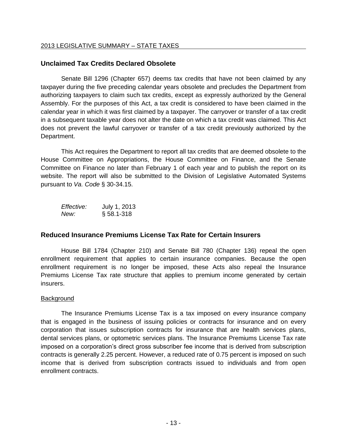### <span id="page-17-0"></span>**Unclaimed Tax Credits Declared Obsolete**

Senate Bill 1296 (Chapter 657) deems tax credits that have not been claimed by any taxpayer during the five preceding calendar years obsolete and precludes the Department from authorizing taxpayers to claim such tax credits, except as expressly authorized by the General Assembly. For the purposes of this Act, a tax credit is considered to have been claimed in the calendar year in which it was first claimed by a taxpayer. The carryover or transfer of a tax credit in a subsequent taxable year does not alter the date on which a tax credit was claimed. This Act does not prevent the lawful carryover or transfer of a tax credit previously authorized by the Department.

This Act requires the Department to report all tax credits that are deemed obsolete to the House Committee on Appropriations, the House Committee on Finance, and the Senate Committee on Finance no later than February 1 of each year and to publish the report on its website. The report will also be submitted to the Division of Legislative Automated Systems pursuant to *Va. Code* § 30-34.15.

*Effective:* July 1, 2013 *New:* § 58.1-318

#### <span id="page-17-1"></span>**Reduced Insurance Premiums License Tax Rate for Certain Insurers**

House Bill 1784 (Chapter 210) and Senate Bill 780 (Chapter 136) repeal the open enrollment requirement that applies to certain insurance companies. Because the open enrollment requirement is no longer be imposed, these Acts also repeal the Insurance Premiums License Tax rate structure that applies to premium income generated by certain insurers.

#### **Background**

The Insurance Premiums License Tax is a tax imposed on every insurance company that is engaged in the business of issuing policies or contracts for insurance and on every corporation that issues subscription contracts for insurance that are health services plans, dental services plans, or optometric services plans. The Insurance Premiums License Tax rate imposed on a corporation's direct gross subscriber fee income that is derived from subscription contracts is generally 2.25 percent. However, a reduced rate of 0.75 percent is imposed on such income that is derived from subscription contracts issued to individuals and from open enrollment contracts.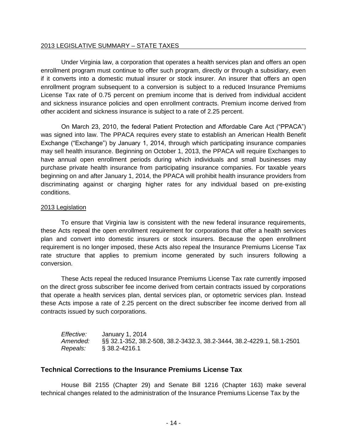Under Virginia law, a corporation that operates a health services plan and offers an open enrollment program must continue to offer such program, directly or through a subsidiary, even if it converts into a domestic mutual insurer or stock insurer. An insurer that offers an open enrollment program subsequent to a conversion is subject to a reduced Insurance Premiums License Tax rate of 0.75 percent on premium income that is derived from individual accident and sickness insurance policies and open enrollment contracts. Premium income derived from other accident and sickness insurance is subject to a rate of 2.25 percent.

On March 23, 2010, the federal Patient Protection and Affordable Care Act ("PPACA") was signed into law. The PPACA requires every state to establish an American Health Benefit Exchange ("Exchange") by January 1, 2014, through which participating insurance companies may sell health insurance. Beginning on October 1, 2013, the PPACA will require Exchanges to have annual open enrollment periods during which individuals and small businesses may purchase private health insurance from participating insurance companies. For taxable years beginning on and after January 1, 2014, the PPACA will prohibit health insurance providers from discriminating against or charging higher rates for any individual based on pre-existing conditions.

#### 2013 Legislation

To ensure that Virginia law is consistent with the new federal insurance requirements, these Acts repeal the open enrollment requirement for corporations that offer a health services plan and convert into domestic insurers or stock insurers. Because the open enrollment requirement is no longer imposed, these Acts also repeal the Insurance Premiums License Tax rate structure that applies to premium income generated by such insurers following a conversion.

These Acts repeal the reduced Insurance Premiums License Tax rate currently imposed on the direct gross subscriber fee income derived from certain contracts issued by corporations that operate a health services plan, dental services plan, or optometric services plan. Instead these Acts impose a rate of 2.25 percent on the direct subscriber fee income derived from all contracts issued by such corporations.

*Effective:* January 1, 2014 *Amended:* §§ 32.1-352, 38.2-508, 38.2-3432.3, 38.2-3444, 38.2-4229.1, 58.1-2501 *Repeals:* § 38.2-4216.1

## <span id="page-18-0"></span>**Technical Corrections to the Insurance Premiums License Tax**

House Bill 2155 (Chapter 29) and Senate Bill 1216 (Chapter 163) make several technical changes related to the administration of the Insurance Premiums License Tax by the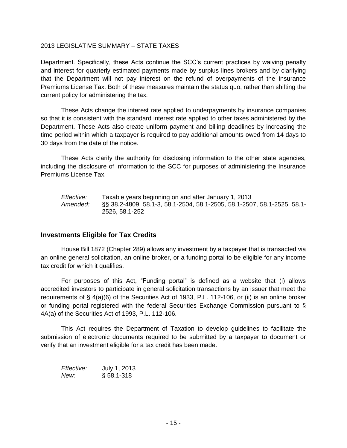Department. Specifically, these Acts continue the SCC's current practices by waiving penalty and interest for quarterly estimated payments made by surplus lines brokers and by clarifying that the Department will not pay interest on the refund of overpayments of the Insurance Premiums License Tax. Both of these measures maintain the status quo, rather than shifting the current policy for administering the tax.

These Acts change the interest rate applied to underpayments by insurance companies so that it is consistent with the standard interest rate applied to other taxes administered by the Department. These Acts also create uniform payment and billing deadlines by increasing the time period within which a taxpayer is required to pay additional amounts owed from 14 days to 30 days from the date of the notice.

These Acts clarify the authority for disclosing information to the other state agencies, including the disclosure of information to the SCC for purposes of administering the Insurance Premiums License Tax.

*Effective:* Taxable years beginning on and after January 1, 2013 *Amended:* §§ 38.2-4809, 58.1-3, 58.1-2504, 58.1-2505, 58.1-2507, 58.1-2525, 58.1- 2526, 58.1-252

## <span id="page-19-0"></span>**Investments Eligible for Tax Credits**

House Bill 1872 (Chapter 289) allows any investment by a taxpayer that is transacted via an online general solicitation, an online broker, or a funding portal to be eligible for any income tax credit for which it qualifies.

For purposes of this Act, "Funding portal" is defined as a website that (i) allows accredited investors to participate in general solicitation transactions by an issuer that meet the requirements of § 4(a)(6) of the Securities Act of 1933, P.L. 112-106, or (ii) is an online broker or funding portal registered with the federal Securities Exchange Commission pursuant to § 4A(a) of the Securities Act of 1993, P.L. 112-106.

This Act requires the Department of Taxation to develop guidelines to facilitate the submission of electronic documents required to be submitted by a taxpayer to document or verify that an investment eligible for a tax credit has been made.

*Effective:* July 1, 2013 *New:* § 58.1-318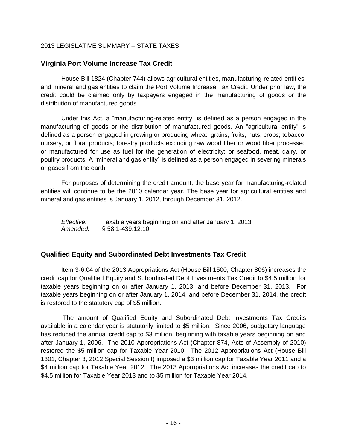## <span id="page-20-0"></span>**Virginia Port Volume Increase Tax Credit**

House Bill 1824 (Chapter 744) allows agricultural entities, manufacturing-related entities, and mineral and gas entities to claim the Port Volume Increase Tax Credit. Under prior law, the credit could be claimed only by taxpayers engaged in the manufacturing of goods or the distribution of manufactured goods.

Under this Act, a "manufacturing-related entity" is defined as a person engaged in the manufacturing of goods or the distribution of manufactured goods. An "agricultural entity" is defined as a person engaged in growing or producing wheat, grains, fruits, nuts, crops; tobacco, nursery, or floral products; forestry products excluding raw wood fiber or wood fiber processed or manufactured for use as fuel for the generation of electricity; or seafood, meat, dairy, or poultry products. A "mineral and gas entity" is defined as a person engaged in severing minerals or gases from the earth.

For purposes of determining the credit amount, the base year for manufacturing-related entities will continue to be the 2010 calendar year. The base year for agricultural entities and mineral and gas entities is January 1, 2012, through December 31, 2012.

*Effective:* Taxable years beginning on and after January 1, 2013 *Amended:* § 58.1-439.12:10

## <span id="page-20-1"></span>**Qualified Equity and Subordinated Debt Investments Tax Credit**

Item 3-6.04 of the 2013 Appropriations Act (House Bill 1500, Chapter 806) increases the credit cap for Qualified Equity and Subordinated Debt Investments Tax Credit to \$4.5 million for taxable years beginning on or after January 1, 2013, and before December 31, 2013. For taxable years beginning on or after January 1, 2014, and before December 31, 2014, the credit is restored to the statutory cap of \$5 million.

The amount of Qualified Equity and Subordinated Debt Investments Tax Credits available in a calendar year is statutorily limited to \$5 million. Since 2006, budgetary language has reduced the annual credit cap to \$3 million, beginning with taxable years beginning on and after January 1, 2006. The 2010 Appropriations Act (Chapter 874, Acts of Assembly of 2010) restored the \$5 million cap for Taxable Year 2010. The 2012 Appropriations Act (House Bill 1301, Chapter 3, 2012 Special Session I) imposed a \$3 million cap for Taxable Year 2011 and a \$4 million cap for Taxable Year 2012. The 2013 Appropriations Act increases the credit cap to \$4.5 million for Taxable Year 2013 and to \$5 million for Taxable Year 2014.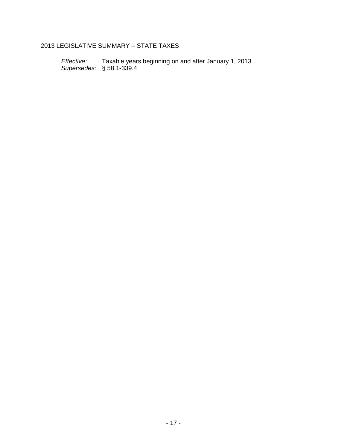*Effective:* Taxable years beginning on and after January 1, 2013 *Supersedes:* § 58.1-339.4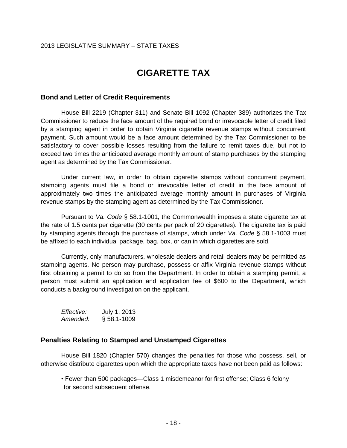# **CIGARETTE TAX**

### <span id="page-22-1"></span><span id="page-22-0"></span>**Bond and Letter of Credit Requirements**

House Bill 2219 (Chapter 311) and Senate Bill 1092 (Chapter 389) authorizes the Tax Commissioner to reduce the face amount of the required bond or irrevocable letter of credit filed by a stamping agent in order to obtain Virginia cigarette revenue stamps without concurrent payment. Such amount would be a face amount determined by the Tax Commissioner to be satisfactory to cover possible losses resulting from the failure to remit taxes due, but not to exceed two times the anticipated average monthly amount of stamp purchases by the stamping agent as determined by the Tax Commissioner.

Under current law, in order to obtain cigarette stamps without concurrent payment, stamping agents must file a bond or irrevocable letter of credit in the face amount of approximately two times the anticipated average monthly amount in purchases of Virginia revenue stamps by the stamping agent as determined by the Tax Commissioner.

Pursuant to *Va. Code* § 58.1-1001, the Commonwealth imposes a state cigarette tax at the rate of 1.5 cents per cigarette (30 cents per pack of 20 cigarettes). The cigarette tax is paid by stamping agents through the purchase of stamps, which under *Va. Code* § 58.1-1003 must be affixed to each individual package, bag, box, or can in which cigarettes are sold.

Currently, only manufacturers, wholesale dealers and retail dealers may be permitted as stamping agents. No person may purchase, possess or affix Virginia revenue stamps without first obtaining a permit to do so from the Department. In order to obtain a stamping permit, a person must submit an application and application fee of \$600 to the Department, which conducts a background investigation on the applicant.

| Effective: | July 1, 2013    |
|------------|-----------------|
| Amended:   | $§ 58.1 - 1009$ |

## <span id="page-22-2"></span>**Penalties Relating to Stamped and Unstamped Cigarettes**

House Bill 1820 (Chapter 570) changes the penalties for those who possess, sell, or otherwise distribute cigarettes upon which the appropriate taxes have not been paid as follows:

• Fewer than 500 packages—Class 1 misdemeanor for first offense; Class 6 felony for second subsequent offense.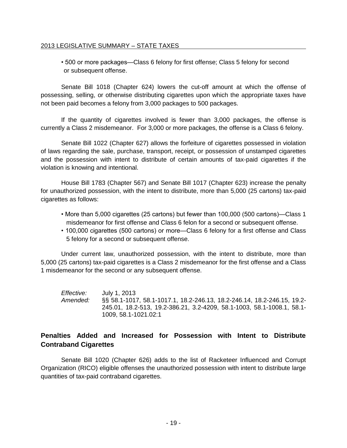• 500 or more packages—Class 6 felony for first offense; Class 5 felony for second or subsequent offense.

Senate Bill 1018 (Chapter 624) lowers the cut-off amount at which the offense of possessing, selling, or otherwise distributing cigarettes upon which the appropriate taxes have not been paid becomes a felony from 3,000 packages to 500 packages.

If the quantity of cigarettes involved is fewer than 3,000 packages, the offense is currently a Class 2 misdemeanor. For 3,000 or more packages, the offense is a Class 6 felony.

Senate Bill 1022 (Chapter 627) allows the forfeiture of cigarettes possessed in violation of laws regarding the sale, purchase, transport, receipt, or possession of unstamped cigarettes and the possession with intent to distribute of certain amounts of tax-paid cigarettes if the violation is knowing and intentional.

House Bill 1783 (Chapter 567) and Senate Bill 1017 (Chapter 623) increase the penalty for unauthorized possession, with the intent to distribute, more than 5,000 (25 cartons) tax-paid cigarettes as follows:

- More than 5,000 cigarettes (25 cartons) but fewer than 100,000 (500 cartons)—Class 1 misdemeanor for first offense and Class 6 felon for a second or subsequent offense.
- 100,000 cigarettes (500 cartons) or more—Class 6 felony for a first offense and Class 5 felony for a second or subsequent offense.

Under current law, unauthorized possession, with the intent to distribute, more than 5,000 (25 cartons) tax-paid cigarettes is a Class 2 misdemeanor for the first offense and a Class 1 misdemeanor for the second or any subsequent offense.

*Effective:* July 1, 2013 *Amended:* §§ 58.1-1017, 58.1-1017.1, 18.2-246.13, 18.2-246.14, 18.2-246.15, 19.2- 245.01, 18.2-513, 19.2-386.21, 3.2-4209, 58.1-1003, 58.1-1008.1, 58.1- 1009, 58.1-1021.02:1

# <span id="page-23-0"></span>**Penalties Added and Increased for Possession with Intent to Distribute Contraband Cigarettes**

Senate Bill 1020 (Chapter 626) adds to the list of Racketeer Influenced and Corrupt Organization (RICO) eligible offenses the unauthorized possession with intent to distribute large quantities of tax-paid contraband cigarettes.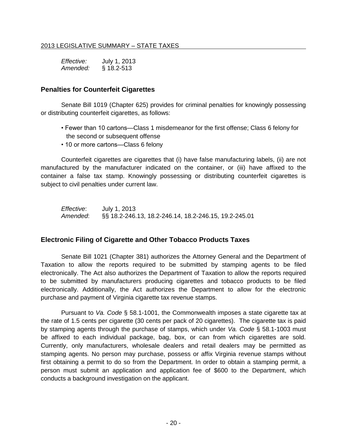| <i>Effective:</i> | July 1, 2013 |
|-------------------|--------------|
| Amended:          | $§$ 18.2-513 |

### <span id="page-24-0"></span>**Penalties for Counterfeit Cigarettes**

Senate Bill 1019 (Chapter 625) provides for criminal penalties for knowingly possessing or distributing counterfeit cigarettes, as follows:

- Fewer than 10 cartons—Class 1 misdemeanor for the first offense; Class 6 felony for the second or subsequent offense
- 10 or more cartons—Class 6 felony

Counterfeit cigarettes are cigarettes that (i) have false manufacturing labels, (ii) are not manufactured by the manufacturer indicated on the container, or (iii) have affixed to the container a false tax stamp. Knowingly possessing or distributing counterfeit cigarettes is subject to civil penalties under current law.

*Effective*: July 1, 2013 *Amended*: §§ 18.2-246.13, 18.2-246.14, 18.2-246.15, 19.2-245.01

## <span id="page-24-1"></span>**Electronic Filing of Cigarette and Other Tobacco Products Taxes**

Senate Bill 1021 (Chapter 381) authorizes the Attorney General and the Department of Taxation to allow the reports required to be submitted by stamping agents to be filed electronically. The Act also authorizes the Department of Taxation to allow the reports required to be submitted by manufacturers producing cigarettes and tobacco products to be filed electronically. Additionally, the Act authorizes the Department to allow for the electronic purchase and payment of Virginia cigarette tax revenue stamps.

Pursuant to *Va. Code* § 58.1-1001, the Commonwealth imposes a state cigarette tax at the rate of 1.5 cents per cigarette (30 cents per pack of 20 cigarettes). The cigarette tax is paid by stamping agents through the purchase of stamps, which under *Va. Code* § 58.1-1003 must be affixed to each individual package, bag, box, or can from which cigarettes are sold. Currently, only manufacturers, wholesale dealers and retail dealers may be permitted as stamping agents. No person may purchase, possess or affix Virginia revenue stamps without first obtaining a permit to do so from the Department. In order to obtain a stamping permit, a person must submit an application and application fee of \$600 to the Department, which conducts a background investigation on the applicant.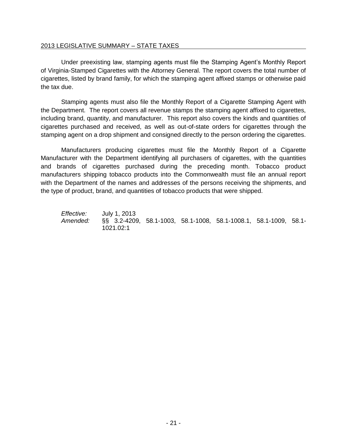Under preexisting law, stamping agents must file the Stamping Agent's Monthly Report of Virginia-Stamped Cigarettes with the Attorney General. The report covers the total number of cigarettes, listed by brand family, for which the stamping agent affixed stamps or otherwise paid the tax due.

Stamping agents must also file the Monthly Report of a Cigarette Stamping Agent with the Department. The report covers all revenue stamps the stamping agent affixed to cigarettes, including brand, quantity, and manufacturer. This report also covers the kinds and quantities of cigarettes purchased and received, as well as out-of-state orders for cigarettes through the stamping agent on a drop shipment and consigned directly to the person ordering the cigarettes.

Manufacturers producing cigarettes must file the Monthly Report of a Cigarette Manufacturer with the Department identifying all purchasers of cigarettes, with the quantities and brands of cigarettes purchased during the preceding month. Tobacco product manufacturers shipping tobacco products into the Commonwealth must file an annual report with the Department of the names and addresses of the persons receiving the shipments, and the type of product, brand, and quantities of tobacco products that were shipped.

*Effective:* July 1, 2013 *Amended:* §§ 3.2-4209, 58.1-1003, 58.1-1008, 58.1-1008.1, 58.1-1009, 58.1- 1021.02:1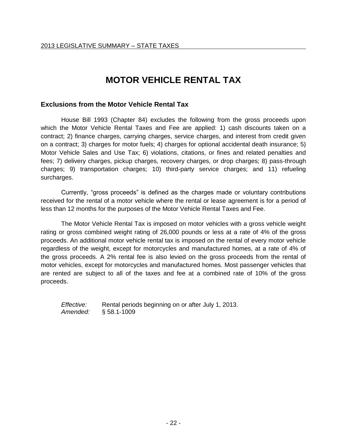# **MOTOR VEHICLE RENTAL TAX**

## <span id="page-26-1"></span><span id="page-26-0"></span>**Exclusions from the Motor Vehicle Rental Tax**

House Bill 1993 (Chapter 84) excludes the following from the gross proceeds upon which the Motor Vehicle Rental Taxes and Fee are applied: 1) cash discounts taken on a contract; 2) finance charges, carrying charges, service charges, and interest from credit given on a contract; 3) charges for motor fuels; 4) charges for optional accidental death insurance; 5) Motor Vehicle Sales and Use Tax; 6) violations, citations, or fines and related penalties and fees; 7) delivery charges, pickup charges, recovery charges, or drop charges; 8) pass-through charges; 9) transportation charges; 10) third-party service charges; and 11) refueling surcharges.

Currently, "gross proceeds" is defined as the charges made or voluntary contributions received for the rental of a motor vehicle where the rental or lease agreement is for a period of less than 12 months for the purposes of the Motor Vehicle Rental Taxes and Fee.

The Motor Vehicle Rental Tax is imposed on motor vehicles with a gross vehicle weight rating or gross combined weight rating of 26,000 pounds or less at a rate of 4% of the gross proceeds. An additional motor vehicle rental tax is imposed on the rental of every motor vehicle regardless of the weight, except for motorcycles and manufactured homes, at a rate of 4% of the gross proceeds. A 2% rental fee is also levied on the gross proceeds from the rental of motor vehicles, except for motorcycles and manufactured homes. Most passenger vehicles that are rented are subject to all of the taxes and fee at a combined rate of 10% of the gross proceeds.

*Effective:* Rental periods beginning on or after July 1, 2013. *Amended:* § 58.1-1009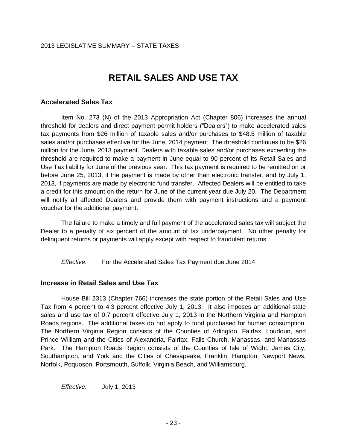# **RETAIL SALES AND USE TAX**

## <span id="page-27-1"></span><span id="page-27-0"></span>**Accelerated Sales Tax**

Item No. 273 (N) of the 2013 Appropriation Act (Chapter 806) increases the annual threshold for dealers and direct payment permit holders ("Dealers") to make accelerated sales tax payments from \$26 million of taxable sales and/or purchases to \$48.5 million of taxable sales and/or purchases effective for the June, 2014 payment. The threshold continues to be \$26 million for the June, 2013 payment. Dealers with taxable sales and/or purchases exceeding the threshold are required to make a payment in June equal to 90 percent of its Retail Sales and Use Tax liability for June of the previous year. This tax payment is required to be remitted on or before June 25, 2013, if the payment is made by other than electronic transfer, and by July 1, 2013, if payments are made by electronic fund transfer. Affected Dealers will be entitled to take a credit for this amount on the return for June of the current year due July 20. The Department will notify all affected Dealers and provide them with payment instructions and a payment voucher for the additional payment.

The failure to make a timely and full payment of the accelerated sales tax will subject the Dealer to a penalty of six percent of the amount of tax underpayment. No other penalty for delinquent returns or payments will apply except with respect to fraudulent returns.

*Effective:* For the Accelerated Sales Tax Payment due June 2014

## <span id="page-27-2"></span>**Increase in Retail Sales and Use Tax**

House Bill 2313 (Chapter 766) increases the state portion of the Retail Sales and Use Tax from 4 percent to 4.3 percent effective July 1, 2013. It also imposes an additional state sales and use tax of 0.7 percent effective July 1, 2013 in the Northern Virginia and Hampton Roads regions. The additional taxes do not apply to food purchased for human consumption. The Northern Virginia Region consists of the Counties of Arlington, Fairfax, Loudoun, and Prince William and the Cities of Alexandria, Fairfax, Falls Church, Manassas, and Manassas Park. The Hampton Roads Region consists of the Counties of Isle of Wight, James City, Southampton, and York and the Cities of Chesapeake, Franklin, Hampton, Newport News, Norfolk, Poquoson, Portsmouth, Suffolk, Virginia Beach, and Williamsburg.

*Effective:* July 1, 2013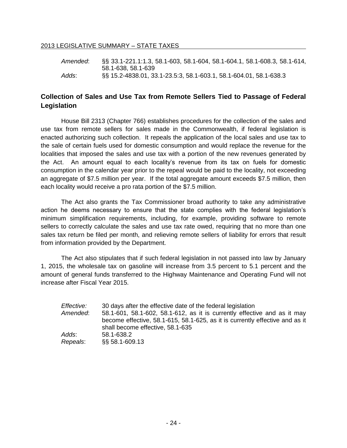| Amended: | SS 33.1-221.1:1.3, 58.1-603, 58.1-604, 58.1-604.1, 58.1-608.3, 58.1-614, |
|----------|--------------------------------------------------------------------------|
|          | 58.1-638, 58.1-639                                                       |
| Adds:    | §§ 15.2-4838.01, 33.1-23.5:3, 58.1-603.1, 58.1-604.01, 58.1-638.3        |

# <span id="page-28-0"></span>**Collection of Sales and Use Tax from Remote Sellers Tied to Passage of Federal Legislation**

House Bill 2313 (Chapter 766) establishes procedures for the collection of the sales and use tax from remote sellers for sales made in the Commonwealth, if federal legislation is enacted authorizing such collection. It repeals the application of the local sales and use tax to the sale of certain fuels used for domestic consumption and would replace the revenue for the localities that imposed the sales and use tax with a portion of the new revenues generated by the Act. An amount equal to each locality's revenue from its tax on fuels for domestic consumption in the calendar year prior to the repeal would be paid to the locality, not exceeding an aggregate of \$7.5 million per year. If the total aggregate amount exceeds \$7.5 million, then each locality would receive a pro rata portion of the \$7.5 million.

The Act also grants the Tax Commissioner broad authority to take any administrative action he deems necessary to ensure that the state complies with the federal legislation's minimum simplification requirements, including, for example, providing software to remote sellers to correctly calculate the sales and use tax rate owed, requiring that no more than one sales tax return be filed per month, and relieving remote sellers of liability for errors that result from information provided by the Department.

The Act also stipulates that if such federal legislation in not passed into law by January 1, 2015, the wholesale tax on gasoline will increase from 3.5 percent to 5.1 percent and the amount of general funds transferred to the Highway Maintenance and Operating Fund will not increase after Fiscal Year 2015.

| Effective: | 30 days after the effective date of the federal legislation                                                      |
|------------|------------------------------------------------------------------------------------------------------------------|
| Amended:   | 58.1-601, 58.1-602, 58.1-612, as it is currently effective and as it may                                         |
|            | become effective, 58.1-615, 58.1-625, as it is currently effective and as it<br>shall become effective, 58.1-635 |
| Adds:      | 58.1-638.2                                                                                                       |
| Repeals:   | SS 58.1-609.13                                                                                                   |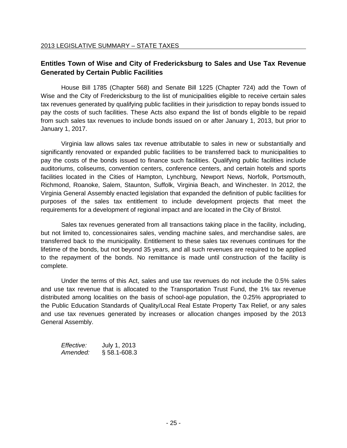# <span id="page-29-0"></span>**Entitles Town of Wise and City of Fredericksburg to Sales and Use Tax Revenue Generated by Certain Public Facilities**

House Bill 1785 (Chapter 568) and Senate Bill 1225 (Chapter 724) add the Town of Wise and the City of Fredericksburg to the list of municipalities eligible to receive certain sales tax revenues generated by qualifying public facilities in their jurisdiction to repay bonds issued to pay the costs of such facilities. These Acts also expand the list of bonds eligible to be repaid from such sales tax revenues to include bonds issued on or after January 1, 2013, but prior to January 1, 2017.

Virginia law allows sales tax revenue attributable to sales in new or substantially and significantly renovated or expanded public facilities to be transferred back to municipalities to pay the costs of the bonds issued to finance such facilities. Qualifying public facilities include auditoriums, coliseums, convention centers, conference centers, and certain hotels and sports facilities located in the Cities of Hampton, Lynchburg, Newport News, Norfolk, Portsmouth, Richmond, Roanoke, Salem, Staunton, Suffolk, Virginia Beach, and Winchester. In 2012, the Virginia General Assembly enacted legislation that expanded the definition of public facilities for purposes of the sales tax entitlement to include development projects that meet the requirements for a development of regional impact and are located in the City of Bristol.

Sales tax revenues generated from all transactions taking place in the facility, including, but not limited to, concessionaires sales, vending machine sales, and merchandise sales, are transferred back to the municipality. Entitlement to these sales tax revenues continues for the lifetime of the bonds, but not beyond 35 years, and all such revenues are required to be applied to the repayment of the bonds. No remittance is made until construction of the facility is complete.

Under the terms of this Act, sales and use tax revenues do not include the 0.5% sales and use tax revenue that is allocated to the Transportation Trust Fund, the 1% tax revenue distributed among localities on the basis of school-age population, the 0.25% appropriated to the Public Education Standards of Quality/Local Real Estate Property Tax Relief, or any sales and use tax revenues generated by increases or allocation changes imposed by the 2013 General Assembly.

| <i>Effective:</i> | July 1, 2013     |
|-------------------|------------------|
| Amended:          | $§ 58.1 - 608.3$ |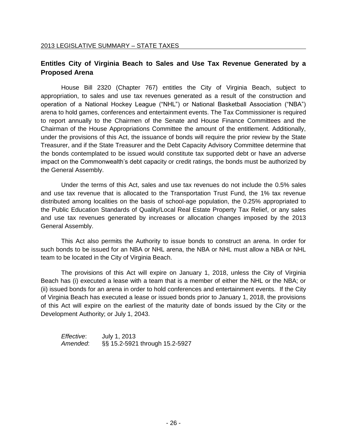# <span id="page-30-0"></span>**Entitles City of Virginia Beach to Sales and Use Tax Revenue Generated by a Proposed Arena**

House Bill 2320 (Chapter 767) entitles the City of Virginia Beach, subject to appropriation, to sales and use tax revenues generated as a result of the construction and operation of a National Hockey League ("NHL") or National Basketball Association ("NBA") arena to hold games, conferences and entertainment events. The Tax Commissioner is required to report annually to the Chairmen of the Senate and House Finance Committees and the Chairman of the House Appropriations Committee the amount of the entitlement. Additionally, under the provisions of this Act, the issuance of bonds will require the prior review by the State Treasurer, and if the State Treasurer and the Debt Capacity Advisory Committee determine that the bonds contemplated to be issued would constitute tax supported debt or have an adverse impact on the Commonwealth's debt capacity or credit ratings, the bonds must be authorized by the General Assembly.

Under the terms of this Act, sales and use tax revenues do not include the 0.5% sales and use tax revenue that is allocated to the Transportation Trust Fund, the 1% tax revenue distributed among localities on the basis of school-age population, the 0.25% appropriated to the Public Education Standards of Quality/Local Real Estate Property Tax Relief, or any sales and use tax revenues generated by increases or allocation changes imposed by the 2013 General Assembly.

This Act also permits the Authority to issue bonds to construct an arena. In order for such bonds to be issued for an NBA or NHL arena, the NBA or NHL must allow a NBA or NHL team to be located in the City of Virginia Beach.

The provisions of this Act will expire on January 1, 2018, unless the City of Virginia Beach has (i) executed a lease with a team that is a member of either the NHL or the NBA; or (ii) issued bonds for an arena in order to hold conferences and entertainment events. If the City of Virginia Beach has executed a lease or issued bonds prior to January 1, 2018, the provisions of this Act will expire on the earliest of the maturity date of bonds issued by the City or the Development Authority; or July 1, 2043.

*Effective*: July 1, 2013 *Amended*: §§ 15.2-5921 through 15.2-5927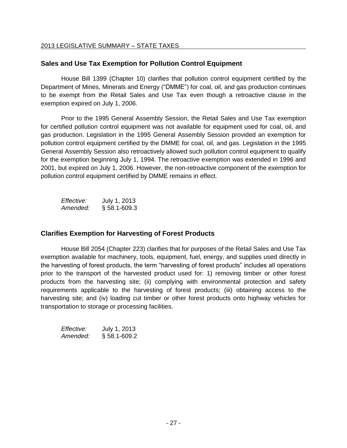## <span id="page-31-0"></span>**Sales and Use Tax Exemption for Pollution Control Equipment**

House Bill 1399 (Chapter 10) clarifies that pollution control equipment certified by the Department of Mines, Minerals and Energy ("DMME") for coal, oil, and gas production continues to be exempt from the Retail Sales and Use Tax even though a retroactive clause in the exemption expired on July 1, 2006.

Prior to the 1995 General Assembly Session, the Retail Sales and Use Tax exemption for certified pollution control equipment was not available for equipment used for coal, oil, and gas production. Legislation in the 1995 General Assembly Session provided an exemption for pollution control equipment certified by the DMME for coal, oil, and gas. Legislation in the 1995 General Assembly Session also retroactively allowed such pollution control equipment to qualify for the exemption beginning July 1, 1994. The retroactive exemption was extended in 1996 and 2001, but expired on July 1, 2006. However, the non-retroactive component of the exemption for pollution control equipment certified by DMME remains in effect.

*Effective:* July 1, 2013 *Amended:* § 58.1-609.3

#### <span id="page-31-1"></span>**Clarifies Exemption for Harvesting of Forest Products**

House Bill 2054 (Chapter 223) clarifies that for purposes of the Retail Sales and Use Tax exemption available for machinery, tools, equipment, fuel, energy, and supplies used directly in the harvesting of forest products, the term "harvesting of forest products" includes all operations prior to the transport of the harvested product used for: 1) removing timber or other forest products from the harvesting site; (ii) complying with environmental protection and safety requirements applicable to the harvesting of forest products; (iii) obtaining access to the harvesting site; and (iv) loading cut timber or other forest products onto highway vehicles for transportation to storage or processing facilities.

*Effective:* July 1, 2013 *Amended:* § 58.1-609.2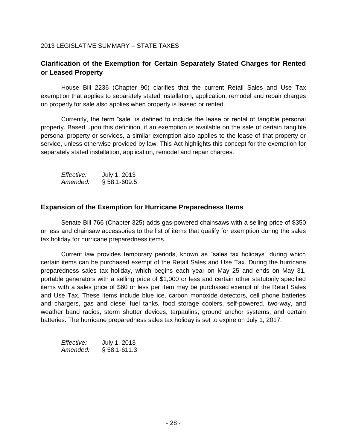# <span id="page-32-0"></span>**Clarification of the Exemption for Certain Separately Stated Charges for Rented or Leased Property**

House Bill 2236 (Chapter 90) clarifies that the current Retail Sales and Use Tax exemption that applies to separately stated installation, application, remodel and repair charges on property for sale also applies when property is leased or rented.

Currently, the term "sale" is defined to include the lease or rental of tangible personal property. Based upon this definition, if an exemption is available on the sale of certain tangible personal property or services, a similar exemption also applies to the lease of that property or service, unless otherwise provided by law. This Act highlights this concept for the exemption for separately stated installation, application, remodel and repair charges.

*Effective:* July 1, 2013 *Amended:* § 58.1-609.5

### <span id="page-32-1"></span>**Expansion of the Exemption for Hurricane Preparedness Items**

Senate Bill 766 (Chapter 325) adds gas-powered chainsaws with a selling price of \$350 or less and chainsaw accessories to the list of items that qualify for exemption during the sales tax holiday for hurricane preparedness items.

Current law provides temporary periods, known as "sales tax holidays" during which certain items can be purchased exempt of the Retail Sales and Use Tax. During the hurricane preparedness sales tax holiday, which begins each year on May 25 and ends on May 31, portable generators with a selling price of \$1,000 or less and certain other statutorily specified items with a sales price of \$60 or less per item may be purchased exempt of the Retail Sales and Use Tax. These items include blue ice, carbon monoxide detectors, cell phone batteries and chargers, gas and diesel fuel tanks, food storage coolers, self-powered, two-way, and weather band radios, storm shutter devices, tarpaulins, ground anchor systems, and certain batteries. The hurricane preparedness sales tax holiday is set to expire on July 1, 2017.

*Effective:* July 1, 2013 *Amended:* § 58.1-611.3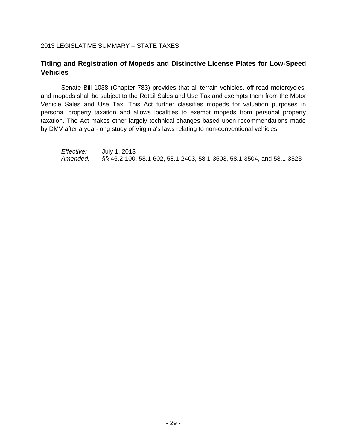# <span id="page-33-0"></span>**Titling and Registration of Mopeds and Distinctive License Plates for Low-Speed Vehicles**

Senate Bill 1038 (Chapter 783) provides that all-terrain vehicles, off-road motorcycles, and mopeds shall be subject to the Retail Sales and Use Tax and exempts them from the Motor Vehicle Sales and Use Tax. This Act further classifies mopeds for valuation purposes in personal property taxation and allows localities to exempt mopeds from personal property taxation. The Act makes other largely technical changes based upon recommendations made by DMV after a year-long study of Virginia's laws relating to non-conventional vehicles.

*Effective:* July 1, 2013 *Amended:* §§ 46.2-100, 58.1-602, 58.1-2403, 58.1-3503, 58.1-3504, and 58.1-3523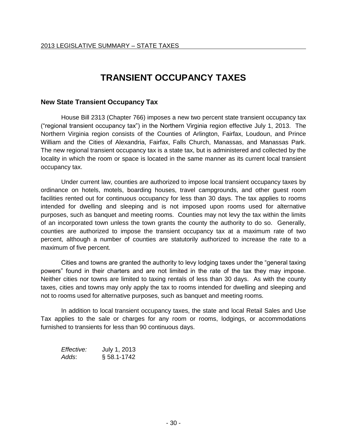# **TRANSIENT OCCUPANCY TAXES**

### <span id="page-34-1"></span><span id="page-34-0"></span>**New State Transient Occupancy Tax**

House Bill 2313 (Chapter 766) imposes a new two percent state transient occupancy tax ("regional transient occupancy tax") in the Northern Virginia region effective July 1, 2013. The Northern Virginia region consists of the Counties of Arlington, Fairfax, Loudoun, and Prince William and the Cities of Alexandria, Fairfax, Falls Church, Manassas, and Manassas Park. The new regional transient occupancy tax is a state tax, but is administered and collected by the locality in which the room or space is located in the same manner as its current local transient occupancy tax.

Under current law, counties are authorized to impose local transient occupancy taxes by ordinance on hotels, motels, boarding houses, travel campgrounds, and other guest room facilities rented out for continuous occupancy for less than 30 days. The tax applies to rooms intended for dwelling and sleeping and is not imposed upon rooms used for alternative purposes, such as banquet and meeting rooms. Counties may not levy the tax within the limits of an incorporated town unless the town grants the county the authority to do so. Generally, counties are authorized to impose the transient occupancy tax at a maximum rate of two percent, although a number of counties are statutorily authorized to increase the rate to a maximum of five percent.

Cities and towns are granted the authority to levy lodging taxes under the "general taxing powers" found in their charters and are not limited in the rate of the tax they may impose. Neither cities nor towns are limited to taxing rentals of less than 30 days. As with the county taxes, cities and towns may only apply the tax to rooms intended for dwelling and sleeping and not to rooms used for alternative purposes, such as banquet and meeting rooms.

In addition to local transient occupancy taxes, the state and local Retail Sales and Use Tax applies to the sale or charges for any room or rooms, lodgings, or accommodations furnished to transients for less than 90 continuous days.

*Effective:* July 1, 2013 *Adds*: § 58.1-1742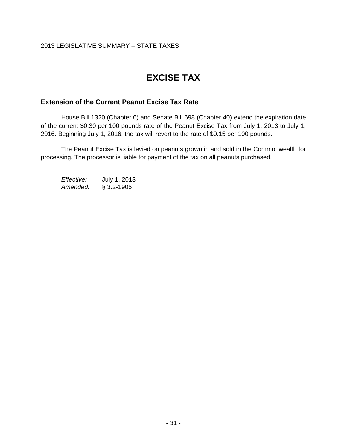# **EXCISE TAX**

## <span id="page-35-1"></span><span id="page-35-0"></span>**Extension of the Current Peanut Excise Tax Rate**

House Bill 1320 (Chapter 6) and Senate Bill 698 (Chapter 40) extend the expiration date of the current \$0.30 per 100 pounds rate of the Peanut Excise Tax from July 1, 2013 to July 1, 2016. Beginning July 1, 2016, the tax will revert to the rate of \$0.15 per 100 pounds.

The Peanut Excise Tax is levied on peanuts grown in and sold in the Commonwealth for processing. The processor is liable for payment of the tax on all peanuts purchased.

*Effective:* July 1, 2013 *Amended:* § 3.2-1905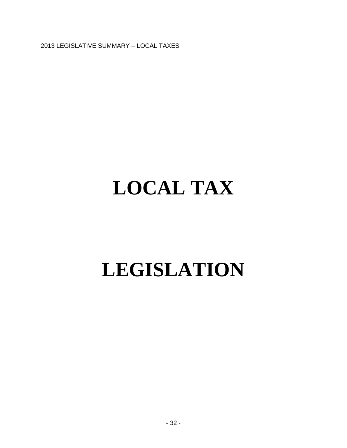2013 LEGISLATIVE SUMMARY – LOCAL TAXES

# <span id="page-36-0"></span>**LOCAL TAX**

# **LEGISLATION**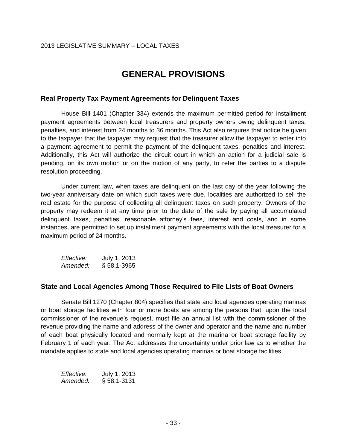# **GENERAL PROVISIONS**

### <span id="page-37-1"></span><span id="page-37-0"></span>**Real Property Tax Payment Agreements for Delinquent Taxes**

House Bill 1401 (Chapter 334) extends the maximum permitted period for installment payment agreements between local treasurers and property owners owing delinquent taxes, penalties, and interest from 24 months to 36 months. This Act also requires that notice be given to the taxpayer that the taxpayer may request that the treasurer allow the taxpayer to enter into a payment agreement to permit the payment of the delinquent taxes, penalties and interest. Additionally, this Act will authorize the circuit court in which an action for a judicial sale is pending, on its own motion or on the motion of any party, to refer the parties to a dispute resolution proceeding.

Under current law, when taxes are delinquent on the last day of the year following the two-year anniversary date on which such taxes were due, localities are authorized to sell the real estate for the purpose of collecting all delinquent taxes on such property. Owners of the property may redeem it at any time prior to the date of the sale by paying all accumulated delinquent taxes, penalties, reasonable attorney's fees, interest and costs, and in some instances, are permitted to set up installment payment agreements with the local treasurer for a maximum period of 24 months.

*Effective:* July 1, 2013 *Amended:* § 58.1-3965

#### <span id="page-37-2"></span>**State and Local Agencies Among Those Required to File Lists of Boat Owners**

Senate Bill 1270 (Chapter 804) specifies that state and local agencies operating marinas or boat storage facilities with four or more boats are among the persons that, upon the local commissioner of the revenue's request, must file an annual list with the commissioner of the revenue providing the name and address of the owner and operator and the name and number of each boat physically located and normally kept at the marina or boat storage facility by February 1 of each year. The Act addresses the uncertainty under prior law as to whether the mandate applies to state and local agencies operating marinas or boat storage facilities.

*Effective:* July 1, 2013 *Amended:* § 58.1-3131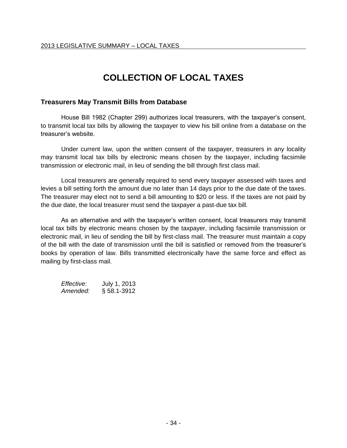# **COLLECTION OF LOCAL TAXES**

### <span id="page-38-1"></span><span id="page-38-0"></span>**Treasurers May Transmit Bills from Database**

House Bill 1982 (Chapter 299) authorizes local treasurers, with the taxpayer's consent, to transmit local tax bills by allowing the taxpayer to view his bill online from a database on the treasurer's website.

Under current law, upon the written consent of the taxpayer, treasurers in any locality may transmit local tax bills by electronic means chosen by the taxpayer, including facsimile transmission or electronic mail, in lieu of sending the bill through first class mail.

Local treasurers are generally required to send every taxpayer assessed with taxes and levies a bill setting forth the amount due no later than 14 days prior to the due date of the taxes. The treasurer may elect not to send a bill amounting to \$20 or less. If the taxes are not paid by the due date, the local treasurer must send the taxpayer a past-due tax bill.

As an alternative and with the taxpayer's written consent, local treasurers may transmit local tax bills by electronic means chosen by the taxpayer, including facsimile transmission or electronic mail, in lieu of sending the bill by first-class mail. The treasurer must maintain a copy of the bill with the date of transmission until the bill is satisfied or removed from the treasurer's books by operation of law. Bills transmitted electronically have the same force and effect as mailing by first-class mail.

*Effective:* July 1, 2013 *Amended:* § 58.1-3912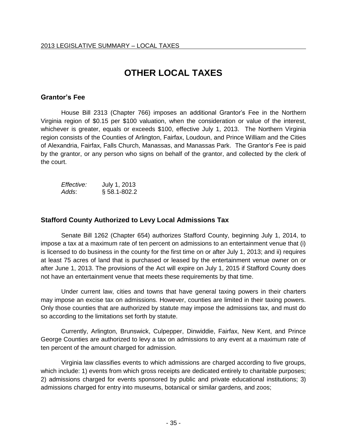# **OTHER LOCAL TAXES**

## <span id="page-39-1"></span><span id="page-39-0"></span>**Grantor's Fee**

House Bill 2313 (Chapter 766) imposes an additional Grantor's Fee in the Northern Virginia region of \$0.15 per \$100 valuation, when the consideration or value of the interest, whichever is greater, equals or exceeds \$100, effective July 1, 2013. The Northern Virginia region consists of the Counties of Arlington, Fairfax, Loudoun, and Prince William and the Cities of Alexandria, Fairfax, Falls Church, Manassas, and Manassas Park. The Grantor's Fee is paid by the grantor, or any person who signs on behalf of the grantor, and collected by the clerk of the court.

*Effective:* July 1, 2013 *Adds*: § 58.1-802.2

#### <span id="page-39-2"></span>**Stafford County Authorized to Levy Local Admissions Tax**

Senate Bill 1262 (Chapter 654) authorizes Stafford County, beginning July 1, 2014, to impose a tax at a maximum rate of ten percent on admissions to an entertainment venue that (i) is licensed to do business in the county for the first time on or after July 1, 2013; and ii) requires at least 75 acres of land that is purchased or leased by the entertainment venue owner on or after June 1, 2013. The provisions of the Act will expire on July 1, 2015 if Stafford County does not have an entertainment venue that meets these requirements by that time.

Under current law, cities and towns that have general taxing powers in their charters may impose an excise tax on admissions. However, counties are limited in their taxing powers. Only those counties that are authorized by statute may impose the admissions tax, and must do so according to the limitations set forth by statute.

Currently, Arlington, Brunswick, Culpepper, Dinwiddie, Fairfax, New Kent, and Prince George Counties are authorized to levy a tax on admissions to any event at a maximum rate of ten percent of the amount charged for admission.

Virginia law classifies events to which admissions are charged according to five groups, which include: 1) events from which gross receipts are dedicated entirely to charitable purposes; 2) admissions charged for events sponsored by public and private educational institutions; 3) admissions charged for entry into museums, botanical or similar gardens, and zoos;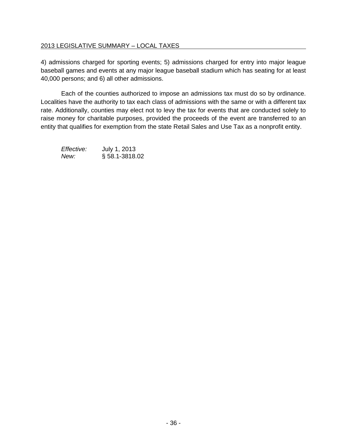#### 2013 LEGISLATIVE SUMMARY – LOCAL TAXES

4) admissions charged for sporting events; 5) admissions charged for entry into major league baseball games and events at any major league baseball stadium which has seating for at least 40,000 persons; and 6) all other admissions.

Each of the counties authorized to impose an admissions tax must do so by ordinance. Localities have the authority to tax each class of admissions with the same or with a different tax rate. Additionally, counties may elect not to levy the tax for events that are conducted solely to raise money for charitable purposes, provided the proceeds of the event are transferred to an entity that qualifies for exemption from the state Retail Sales and Use Tax as a nonprofit entity.

*Effective:* July 1, 2013 *New:* § 58.1-3818.02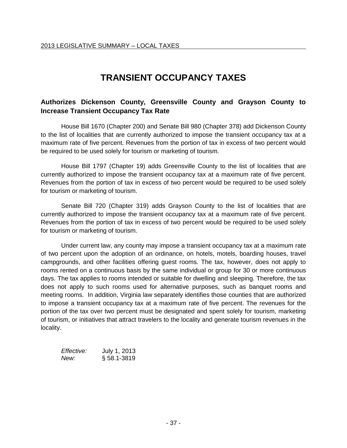# **TRANSIENT OCCUPANCY TAXES**

# <span id="page-41-1"></span><span id="page-41-0"></span>**Authorizes Dickenson County, Greensville County and Grayson County to Increase Transient Occupancy Tax Rate**

House Bill 1670 (Chapter 200) and Senate Bill 980 (Chapter 378) add Dickenson County to the list of localities that are currently authorized to impose the transient occupancy tax at a maximum rate of five percent. Revenues from the portion of tax in excess of two percent would be required to be used solely for tourism or marketing of tourism.

House Bill 1797 (Chapter 19) adds Greensville County to the list of localities that are currently authorized to impose the transient occupancy tax at a maximum rate of five percent. Revenues from the portion of tax in excess of two percent would be required to be used solely for tourism or marketing of tourism.

Senate Bill 720 (Chapter 319) adds Grayson County to the list of localities that are currently authorized to impose the transient occupancy tax at a maximum rate of five percent. Revenues from the portion of tax in excess of two percent would be required to be used solely for tourism or marketing of tourism.

Under current law, any county may impose a transient occupancy tax at a maximum rate of two percent upon the adoption of an ordinance, on hotels, motels, boarding houses, travel campgrounds, and other facilities offering guest rooms. The tax, however, does not apply to rooms rented on a continuous basis by the same individual or group for 30 or more continuous days. The tax applies to rooms intended or suitable for dwelling and sleeping. Therefore, the tax does not apply to such rooms used for alternative purposes, such as banquet rooms and meeting rooms. In addition, Virginia law separately identifies those counties that are authorized to impose a transient occupancy tax at a maximum rate of five percent. The revenues for the portion of the tax over two percent must be designated and spent solely for tourism, marketing of tourism, or initiatives that attract travelers to the locality and generate tourism revenues in the locality.

| <i>Effective:</i> | July 1, 2013    |
|-------------------|-----------------|
| New:              | $§ 58.1 - 3819$ |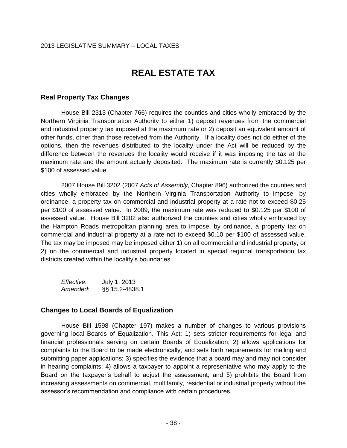# **REAL ESTATE TAX**

## <span id="page-42-1"></span><span id="page-42-0"></span>**Real Property Tax Changes**

House Bill 2313 (Chapter 766) requires the counties and cities wholly embraced by the Northern Virginia Transportation Authority to either 1) deposit revenues from the commercial and industrial property tax imposed at the maximum rate or 2) deposit an equivalent amount of other funds, other than those received from the Authority. If a locality does not do either of the options, then the revenues distributed to the locality under the Act will be reduced by the difference between the revenues the locality would receive if it was imposing the tax at the maximum rate and the amount actually deposited. The maximum rate is currently \$0.125 per \$100 of assessed value.

2007 House Bill 3202 (2007 *Acts of Assembly*, Chapter 896) authorized the counties and cities wholly embraced by the Northern Virginia Transportation Authority to impose, by ordinance, a property tax on commercial and industrial property at a rate not to exceed \$0.25 per \$100 of assessed value. In 2009, the maximum rate was reduced to \$0.125 per \$100 of assessed value. House Bill 3202 also authorized the counties and cities wholly embraced by the Hampton Roads metropolitan planning area to impose, by ordinance, a property tax on commercial and industrial property at a rate not to exceed \$0.10 per \$100 of assessed value. The tax may be imposed may be imposed either 1) on all commercial and industrial property, or 2) on the commercial and industrial property located in special regional transportation tax districts created within the locality's boundaries.

*Effective:* July 1, 2013 *Amended*: §§ 15.2-4838.1

#### <span id="page-42-2"></span>**Changes to Local Boards of Equalization**

House Bill 1598 (Chapter 197) makes a number of changes to various provisions governing local Boards of Equalization. This Act: 1) sets stricter requirements for legal and financial professionals serving on certain Boards of Equalization; 2) allows applications for complaints to the Board to be made electronically, and sets forth requirements for mailing and submitting paper applications; 3) specifies the evidence that a board may and may not consider in hearing complaints; 4) allows a taxpayer to appoint a representative who may apply to the Board on the taxpayer's behalf to adjust the assessment; and 5) prohibits the Board from increasing assessments on commercial, multifamily, residential or industrial property without the assessor's recommendation and compliance with certain procedures.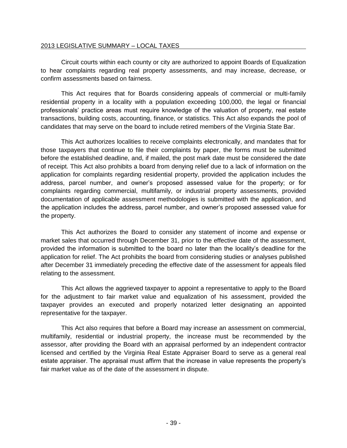#### 2013 LEGISLATIVE SUMMARY – LOCAL TAXES

Circuit courts within each county or city are authorized to appoint Boards of Equalization to hear complaints regarding real property assessments, and may increase, decrease, or confirm assessments based on fairness.

This Act requires that for Boards considering appeals of commercial or multi-family residential property in a locality with a population exceeding 100,000, the legal or financial professionals' practice areas must require knowledge of the valuation of property, real estate transactions, building costs, accounting, finance, or statistics. This Act also expands the pool of candidates that may serve on the board to include retired members of the Virginia State Bar.

This Act authorizes localities to receive complaints electronically, and mandates that for those taxpayers that continue to file their complaints by paper, the forms must be submitted before the established deadline, and, if mailed, the post mark date must be considered the date of receipt. This Act also prohibits a board from denying relief due to a lack of information on the application for complaints regarding residential property, provided the application includes the address, parcel number, and owner's proposed assessed value for the property; or for complaints regarding commercial, multifamily, or industrial property assessments, provided documentation of applicable assessment methodologies is submitted with the application, and the application includes the address, parcel number, and owner's proposed assessed value for the property.

This Act authorizes the Board to consider any statement of income and expense or market sales that occurred through December 31, prior to the effective date of the assessment, provided the information is submitted to the board no later than the locality's deadline for the application for relief. The Act prohibits the board from considering studies or analyses published after December 31 immediately preceding the effective date of the assessment for appeals filed relating to the assessment.

This Act allows the aggrieved taxpayer to appoint a representative to apply to the Board for the adjustment to fair market value and equalization of his assessment, provided the taxpayer provides an executed and properly notarized letter designating an appointed representative for the taxpayer.

This Act also requires that before a Board may increase an assessment on commercial, multifamily, residential or industrial property, the increase must be recommended by the assessor, after providing the Board with an appraisal performed by an independent contractor licensed and certified by the Virginia Real Estate Appraiser Board to serve as a general real estate appraiser. The appraisal must affirm that the increase in value represents the property's fair market value as of the date of the assessment in dispute.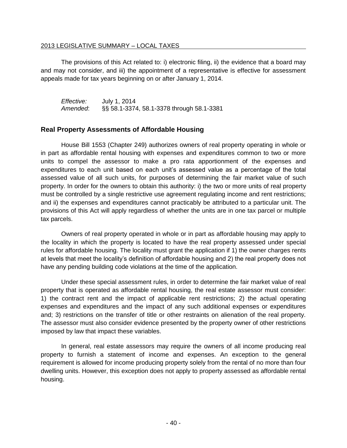#### 2013 LEGISLATIVE SUMMARY – LOCAL TAXES

The provisions of this Act related to: i) electronic filing, ii) the evidence that a board may and may not consider, and iii) the appointment of a representative is effective for assessment appeals made for tax years beginning on or after January 1, 2014.

*Effective:* July 1, 2014 *Amended*: §§ 58.1-3374, 58.1-3378 through 58.1-3381

### <span id="page-44-0"></span>**Real Property Assessments of Affordable Housing**

House Bill 1553 (Chapter 249) authorizes owners of real property operating in whole or in part as affordable rental housing with expenses and expenditures common to two or more units to compel the assessor to make a pro rata apportionment of the expenses and expenditures to each unit based on each unit's assessed value as a percentage of the total assessed value of all such units, for purposes of determining the fair market value of such property. In order for the owners to obtain this authority: i) the two or more units of real property must be controlled by a single restrictive use agreement regulating income and rent restrictions; and ii) the expenses and expenditures cannot practicably be attributed to a particular unit. The provisions of this Act will apply regardless of whether the units are in one tax parcel or multiple tax parcels.

Owners of real property operated in whole or in part as affordable housing may apply to the locality in which the property is located to have the real property assessed under special rules for affordable housing. The locality must grant the application if 1) the owner charges rents at levels that meet the locality's definition of affordable housing and 2) the real property does not have any pending building code violations at the time of the application.

Under these special assessment rules, in order to determine the fair market value of real property that is operated as affordable rental housing, the real estate assessor must consider: 1) the contract rent and the impact of applicable rent restrictions; 2) the actual operating expenses and expenditures and the impact of any such additional expenses or expenditures and; 3) restrictions on the transfer of title or other restraints on alienation of the real property. The assessor must also consider evidence presented by the property owner of other restrictions imposed by law that impact these variables.

In general, real estate assessors may require the owners of all income producing real property to furnish a statement of income and expenses. An exception to the general requirement is allowed for income producing property solely from the rental of no more than four dwelling units. However, this exception does not apply to property assessed as affordable rental housing.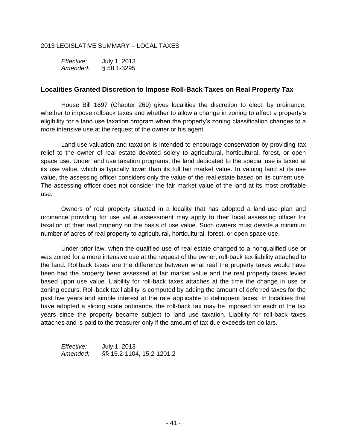| Effective: | July 1, 2013    |
|------------|-----------------|
| Amended:   | $§ 58.1 - 3295$ |

#### <span id="page-45-0"></span>**Localities Granted Discretion to Impose Roll-Back Taxes on Real Property Tax**

House Bill 1697 (Chapter 269) gives localities the discretion to elect, by ordinance, whether to impose rollback taxes and whether to allow a change in zoning to affect a property's eligibility for a land use taxation program when the property's zoning classification changes to a more intensive use at the request of the owner or his agent.

Land use valuation and taxation is intended to encourage conservation by providing tax relief to the owner of real estate devoted solely to agricultural, horticultural, forest, or open space use. Under land use taxation programs, the land dedicated to the special use is taxed at its use value, which is typically lower than its full fair market value. In valuing land at its use value, the assessing officer considers only the value of the real estate based on its current use. The assessing officer does not consider the fair market value of the land at its most profitable use.

Owners of real property situated in a locality that has adopted a land-use plan and ordinance providing for use value assessment may apply to their local assessing officer for taxation of their real property on the basis of use value. Such owners must devote a minimum number of acres of real property to agricultural, horticultural, forest, or open space use.

Under prior law, when the qualified use of real estate changed to a nonqualified use or was zoned for a more intensive use at the request of the owner, roll-back tax liability attached to the land. Rollback taxes are the difference between what real the property taxes would have been had the property been assessed at fair market value and the real property taxes levied based upon use value. Liability for roll-back taxes attaches at the time the change in use or zoning occurs. Roll-back tax liability is computed by adding the amount of deferred taxes for the past five years and simple interest at the rate applicable to delinquent taxes. In localities that have adopted a sliding scale ordinance, the roll-back tax may be imposed for each of the tax years since the property became subject to land use taxation. Liability for roll-back taxes attaches and is paid to the treasurer only if the amount of tax due exceeds ten dollars.

*Effective:* July 1, 2013 *Amended:* §§ 15.2-1104, 15.2-1201.2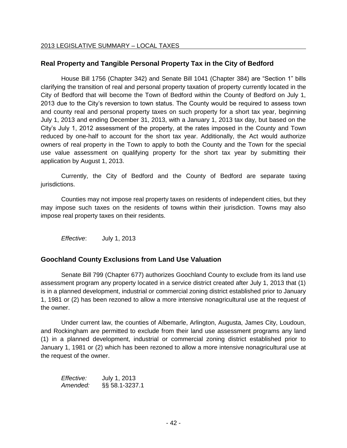## <span id="page-46-0"></span>**Real Property and Tangible Personal Property Tax in the City of Bedford**

House Bill 1756 (Chapter 342) and Senate Bill 1041 (Chapter 384) are "Section 1" bills clarifying the transition of real and personal property taxation of property currently located in the City of Bedford that will become the Town of Bedford within the County of Bedford on July 1, 2013 due to the City's reversion to town status. The County would be required to assess town and county real and personal property taxes on such property for a short tax year, beginning July 1, 2013 and ending December 31, 2013, with a January 1, 2013 tax day, but based on the City's July 1, 2012 assessment of the property, at the rates imposed in the County and Town reduced by one-half to account for the short tax year. Additionally, the Act would authorize owners of real property in the Town to apply to both the County and the Town for the special use value assessment on qualifying property for the short tax year by submitting their application by August 1, 2013.

Currently, the City of Bedford and the County of Bedford are separate taxing jurisdictions.

Counties may not impose real property taxes on residents of independent cities, but they may impose such taxes on the residents of towns within their jurisdiction. Towns may also impose real property taxes on their residents.

*Effective*: July 1, 2013

## <span id="page-46-1"></span>**Goochland County Exclusions from Land Use Valuation**

Senate Bill 799 (Chapter 677) authorizes Goochland County to exclude from its land use assessment program any property located in a service district created after July 1, 2013 that (1) is in a planned development, industrial or commercial zoning district established prior to January 1, 1981 or (2) has been rezoned to allow a more intensive nonagricultural use at the request of the owner.

Under current law, the counties of Albemarle, Arlington, Augusta, James City, Loudoun, and Rockingham are permitted to exclude from their land use assessment programs any land (1) in a planned development, industrial or commercial zoning district established prior to January 1, 1981 or (2) which has been rezoned to allow a more intensive nonagricultural use at the request of the owner.

*Effective:* July 1, 2013 *Amended:* §§ 58.1-3237.1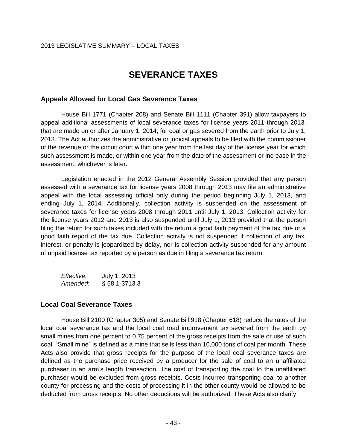# **SEVERANCE TAXES**

# <span id="page-47-1"></span><span id="page-47-0"></span>**Appeals Allowed for Local Gas Severance Taxes**

House Bill 1771 (Chapter 208) and Senate Bill 1111 (Chapter 391) allow taxpayers to appeal additional assessments of local severance taxes for license years 2011 through 2013, that are made on or after January 1, 2014, for coal or gas severed from the earth prior to July 1, 2013. The Act authorizes the administrative or judicial appeals to be filed with the commissioner of the revenue or the circuit court within one year from the last day of the license year for which such assessment is made, or within one year from the date of the assessment or increase in the assessment, whichever is later.

Legislation enacted in the 2012 General Assembly Session provided that any person assessed with a severance tax for license years 2008 through 2013 may file an administrative appeal with the local assessing official only during the period beginning July 1, 2013, and ending July 1, 2014. Additionally, collection activity is suspended on the assessment of severance taxes for license years 2008 through 2011 until July 1, 2013. Collection activity for the license years 2012 and 2013 is also suspended until July 1, 2013 provided that the person filing the return for such taxes included with the return a good faith payment of the tax due or a good faith report of the tax due. Collection activity is not suspended if collection of any tax, interest, or penalty is jeopardized by delay, nor is collection activity suspended for any amount of unpaid license tax reported by a person as due in filing a severance tax return.

| Effective: | July 1, 2013  |
|------------|---------------|
| Amended:   | § 58.1-3713.3 |

## <span id="page-47-2"></span>**Local Coal Severance Taxes**

House Bill 2100 (Chapter 305) and Senate Bill 918 (Chapter 618) reduce the rates of the local coal severance tax and the local coal road improvement tax severed from the earth by small mines from one percent to 0.75 percent of the gross receipts from the sale or use of such coal. "Small mine" is defined as a mine that sells less than 10,000 tons of coal per month. These Acts also provide that gross receipts for the purpose of the local coal severance taxes are defined as the purchase price received by a producer for the sale of coal to an unaffiliated purchaser in an arm's length transaction. The cost of transporting the coal to the unaffiliated purchaser would be excluded from gross receipts. Costs incurred transporting coal to another county for processing and the costs of processing it in the other county would be allowed to be deducted from gross receipts. No other deductions will be authorized. These Acts also clarify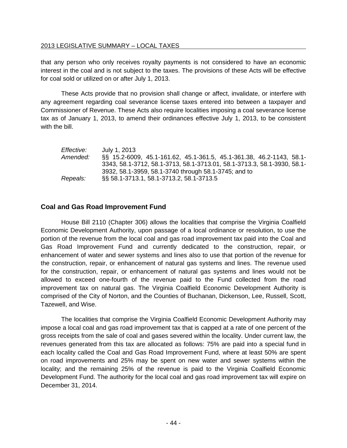#### 2013 LEGISLATIVE SUMMARY – LOCAL TAXES

that any person who only receives royalty payments is not considered to have an economic interest in the coal and is not subject to the taxes. The provisions of these Acts will be effective for coal sold or utilized on or after July 1, 2013.

These Acts provide that no provision shall change or affect, invalidate, or interfere with any agreement regarding coal severance license taxes entered into between a taxpayer and Commissioner of Revenue. These Acts also require localities imposing a coal severance license tax as of January 1, 2013, to amend their ordinances effective July 1, 2013, to be consistent with the bill.

| <i>Effective:</i> | July 1, 2013                                                            |
|-------------------|-------------------------------------------------------------------------|
| Amended:          | §§ 15.2-6009, 45.1-161.62, 45.1-361.5, 45.1-361.38, 46.2-1143, 58.1-    |
|                   | 3343, 58.1-3712, 58.1-3713, 58.1-3713.01, 58.1-3713.3, 58.1-3930, 58.1- |
|                   | 3932, 58.1-3959, 58.1-3740 through 58.1-3745; and to                    |
| Repeals:          | SS 58.1-3713.1, 58.1-3713.2, 58.1-3713.5                                |

### <span id="page-48-0"></span>**Coal and Gas Road Improvement Fund**

House Bill 2110 (Chapter 306) allows the localities that comprise the Virginia Coalfield Economic Development Authority, upon passage of a local ordinance or resolution, to use the portion of the revenue from the local coal and gas road improvement tax paid into the Coal and Gas Road Improvement Fund and currently dedicated to the construction, repair, or enhancement of water and sewer systems and lines also to use that portion of the revenue for the construction, repair, or enhancement of natural gas systems and lines. The revenue used for the construction, repair, or enhancement of natural gas systems and lines would not be allowed to exceed one-fourth of the revenue paid to the Fund collected from the road improvement tax on natural gas. The Virginia Coalfield Economic Development Authority is comprised of the City of Norton, and the Counties of Buchanan, Dickenson, Lee, Russell, Scott, Tazewell, and Wise.

The localities that comprise the Virginia Coalfield Economic Development Authority may impose a local coal and gas road improvement tax that is capped at a rate of one percent of the gross receipts from the sale of coal and gases severed within the locality. Under current law, the revenues generated from this tax are allocated as follows: 75% are paid into a special fund in each locality called the Coal and Gas Road Improvement Fund, where at least 50% are spent on road improvements and 25% may be spent on new water and sewer systems within the locality; and the remaining 25% of the revenue is paid to the Virginia Coalfield Economic Development Fund. The authority for the local coal and gas road improvement tax will expire on December 31, 2014.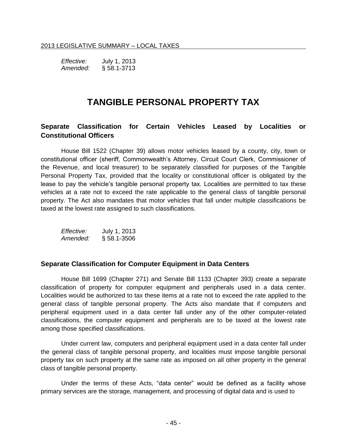<span id="page-49-0"></span>*Effective:* July 1, 2013 *Amended:* § 58.1-3713

# **TANGIBLE PERSONAL PROPERTY TAX**

## <span id="page-49-1"></span>**Separate Classification for Certain Vehicles Leased by Localities or Constitutional Officers**

House Bill 1522 (Chapter 39) allows motor vehicles leased by a county, city, town or constitutional officer (sheriff, Commonwealth's Attorney, Circuit Court Clerk, Commissioner of the Revenue, and local treasurer) to be separately classified for purposes of the Tangible Personal Property Tax, provided that the locality or constitutional officer is obligated by the lease to pay the vehicle's tangible personal property tax. Localities are permitted to tax these vehicles at a rate not to exceed the rate applicable to the general class of tangible personal property. The Act also mandates that motor vehicles that fall under multiple classifications be taxed at the lowest rate assigned to such classifications.

| Effective: | July 1, 2013    |
|------------|-----------------|
| Amended:   | $§ 58.1 - 3506$ |

#### <span id="page-49-2"></span>**Separate Classification for Computer Equipment in Data Centers**

House Bill 1699 (Chapter 271) and Senate Bill 1133 (Chapter 393) create a separate classification of property for computer equipment and peripherals used in a data center. Localities would be authorized to tax these items at a rate not to exceed the rate applied to the general class of tangible personal property. The Acts also mandate that if computers and peripheral equipment used in a data center fall under any of the other computer-related classifications, the computer equipment and peripherals are to be taxed at the lowest rate among those specified classifications.

Under current law, computers and peripheral equipment used in a data center fall under the general class of tangible personal property, and localities must impose tangible personal property tax on such property at the same rate as imposed on all other property in the general class of tangible personal property.

Under the terms of these Acts, "data center" would be defined as a facility whose primary services are the storage, management, and processing of digital data and is used to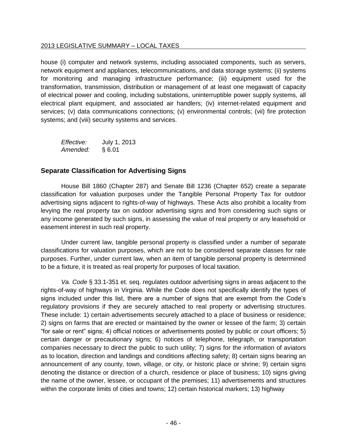#### 2013 LEGISLATIVE SUMMARY – LOCAL TAXES

house (i) computer and network systems, including associated components, such as servers, network equipment and appliances, telecommunications, and data storage systems; (ii) systems for monitoring and managing infrastructure performance; (iii) equipment used for the transformation, transmission, distribution or management of at least one megawatt of capacity of electrical power and cooling, including substations, uninterruptible power supply systems, all electrical plant equipment, and associated air handlers; (iv) internet-related equipment and services; (v) data communications connections; (v) environmental controls; (vii) fire protection systems; and (viii) security systems and services.

*Effective:* July 1, 2013 *Amended:* § 6.01

## <span id="page-50-0"></span>**Separate Classification for Advertising Signs**

House Bill 1860 (Chapter 287) and Senate Bill 1236 (Chapter 652) create a separate classification for valuation purposes under the Tangible Personal Property Tax for outdoor advertising signs adjacent to rights-of-way of highways. These Acts also prohibit a locality from levying the real property tax on outdoor advertising signs and from considering such signs or any income generated by such signs, in assessing the value of real property or any leasehold or easement interest in such real property.

Under current law, tangible personal property is classified under a number of separate classifications for valuation purposes, which are not to be considered separate classes for rate purposes. Further, under current law, when an item of tangible personal property is determined to be a fixture, it is treated as real property for purposes of local taxation.

*Va. Code* § 33.1-351 et. seq. regulates outdoor advertising signs in areas adjacent to the rights-of-way of highways in Virginia. While the Code does not specifically identify the types of signs included under this list, there are a number of signs that are exempt from the Code's regulatory provisions if they are securely attached to real property or advertising structures. These include: 1) certain advertisements securely attached to a place of business or residence; 2) signs on farms that are erected or maintained by the owner or lessee of the farm; 3) certain "for sale or rent" signs; 4) official notices or advertisements posted by public or court officers; 5) certain danger or precautionary signs; 6) notices of telephone, telegraph, or transportation companies necessary to direct the public to such utility; 7) signs for the information of aviators as to location, direction and landings and conditions affecting safety; 8) certain signs bearing an announcement of any county, town, village, or city, or historic place or shrine; 9) certain signs denoting the distance or direction of a church, residence or place of business; 10) signs giving the name of the owner, lessee, or occupant of the premises; 11) advertisements and structures within the corporate limits of cities and towns; 12) certain historical markers; 13) highway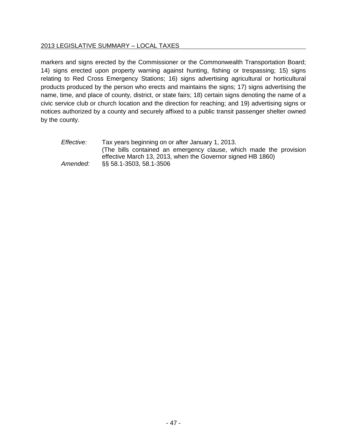#### 2013 LEGISLATIVE SUMMARY – LOCAL TAXES

markers and signs erected by the Commissioner or the Commonwealth Transportation Board; 14) signs erected upon property warning against hunting, fishing or trespassing; 15) signs relating to Red Cross Emergency Stations; 16) signs advertising agricultural or horticultural products produced by the person who erects and maintains the signs; 17) signs advertising the name, time, and place of county, district, or state fairs; 18) certain signs denoting the name of a civic service club or church location and the direction for reaching; and 19) advertising signs or notices authorized by a county and securely affixed to a public transit passenger shelter owned by the county.

*Effective:* Tax years beginning on or after January 1, 2013. (The bills contained an emergency clause, which made the provision effective March 13, 2013, when the Governor signed HB 1860) *Amended:* §§ 58.1-3503, 58.1-3506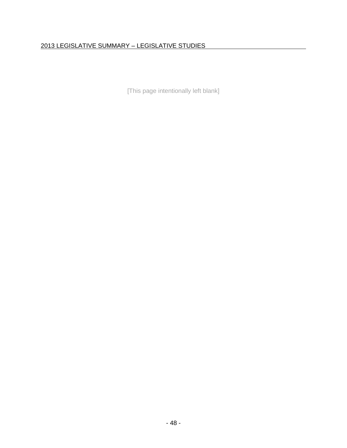# 2013 LEGISLATIVE SUMMARY – LEGISLATIVE STUDIES

[This page intentionally left blank]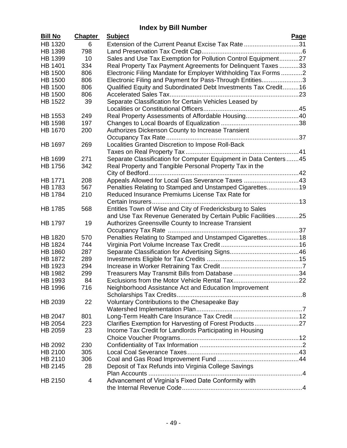# **Index by Bill Number**

| <b>Bill No</b> | <b>Chapter</b> | <b>Subject</b>                                                   | Page |
|----------------|----------------|------------------------------------------------------------------|------|
| HB 1320        | 6              | Extension of the Current Peanut Excise Tax Rate 31               |      |
| <b>HB 1398</b> | 798            |                                                                  |      |
| <b>HB 1399</b> | 10             | Sales and Use Tax Exemption for Pollution Control Equipment27    |      |
| HB 1401        | 334            | Real Property Tax Payment Agreements for Delinquent Taxes33      |      |
| <b>HB 1500</b> | 806            | Electronic Filing Mandate for Employer Withholding Tax Forms2    |      |
| <b>HB 1500</b> | 806            | Electronic Filing and Payment for Pass-Through Entities3         |      |
| <b>HB 1500</b> | 806            | Qualified Equity and Subordinated Debt Investments Tax Credit 16 |      |
| <b>HB 1500</b> | 806            |                                                                  |      |
| <b>HB 1522</b> | 39             | Separate Classification for Certain Vehicles Leased by           |      |
|                |                |                                                                  |      |
| <b>HB 1553</b> | 249            | Real Property Assessments of Affordable Housing40                |      |
| <b>HB 1598</b> | 197            |                                                                  |      |
| <b>HB 1670</b> | 200            | Authorizes Dickenson County to Increase Transient                |      |
|                |                |                                                                  |      |
| <b>HB 1697</b> | 269            | Localities Granted Discretion to Impose Roll-Back                |      |
|                |                |                                                                  |      |
| <b>HB 1699</b> | 271            | Separate Classification for Computer Equipment in Data Centers45 |      |
| <b>HB 1756</b> | 342            | Real Property and Tangible Personal Property Tax in the          |      |
|                |                |                                                                  |      |
| HB 1771        | 208            | Appeals Allowed for Local Gas Severance Taxes 43                 |      |
| <b>HB 1783</b> | 567            | Penalties Relating to Stamped and Unstamped Cigarettes19         |      |
| <b>HB 1784</b> | 210            | Reduced Insurance Premiums License Tax Rate for                  |      |
|                |                |                                                                  |      |
| <b>HB 1785</b> | 568            | Entitles Town of Wise and City of Fredericksburg to Sales        |      |
|                |                | and Use Tax Revenue Generated by Certain Public Facilities25     |      |
| <b>HB 1797</b> | 19             | Authorizes Greensville County to Increase Transient              |      |
|                |                |                                                                  |      |
| <b>HB 1820</b> | 570            | Penalties Relating to Stamped and Unstamped Cigarettes 18        |      |
| <b>HB 1824</b> | 744            |                                                                  |      |
| <b>HB 1860</b> | 287            |                                                                  |      |
| <b>HB 1872</b> | 289            |                                                                  |      |
| HB 1923        | 294            |                                                                  |      |
| <b>HB 1982</b> | 299            |                                                                  |      |
| HB 1993        | 84             |                                                                  |      |
| <b>HB 1996</b> | 716            | Neighborhood Assistance Act and Education Improvement            |      |
|                |                |                                                                  |      |
| HB 2039        | 22             | Voluntary Contributions to the Chesapeake Bay                    |      |
|                |                |                                                                  |      |
| <b>HB 2047</b> | 801            |                                                                  |      |
| <b>HB 2054</b> | 223            | Clarifies Exemption for Harvesting of Forest Products27          |      |
| HB 2059        | 23             | Income Tax Credit for Landlords Participating in Housing         |      |
|                |                |                                                                  |      |
| HB 2092        | 230            |                                                                  |      |
| <b>HB 2100</b> | 305            |                                                                  |      |
| HB 2110        | 306            |                                                                  |      |
| <b>HB 2145</b> | 28             | Deposit of Tax Refunds into Virginia College Savings             |      |
|                |                |                                                                  |      |
| HB 2150        | 4              | Advancement of Virginia's Fixed Date Conformity with             |      |
|                |                |                                                                  |      |
|                |                |                                                                  |      |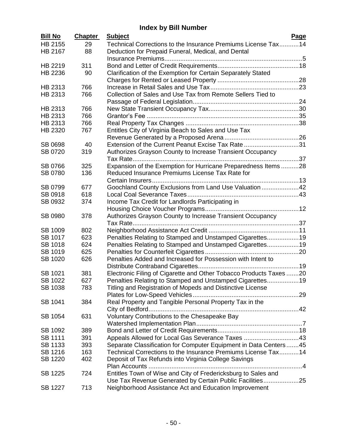# **Index by Bill Number**

| <b>Bill No</b> | <b>Chapter</b> | <b>Subject</b>                                                     | Page |
|----------------|----------------|--------------------------------------------------------------------|------|
| <b>HB 2155</b> | 29             | Technical Corrections to the Insurance Premiums License Tax14      |      |
| <b>HB 2167</b> | 88             | Deduction for Prepaid Funeral, Medical, and Dental                 |      |
|                |                |                                                                    |      |
| HB 2219        | 311            |                                                                    |      |
| HB 2236        | 90             | Clarification of the Exemption for Certain Separately Stated       |      |
|                |                |                                                                    |      |
| HB 2313        | 766            |                                                                    |      |
| HB 2313        | 766            | Collection of Sales and Use Tax from Remote Sellers Tied to        |      |
|                |                |                                                                    |      |
| HB 2313        | 766            |                                                                    |      |
| HB 2313        | 766            |                                                                    |      |
| HB 2313        | 766            |                                                                    |      |
| HB 2320        | 767            | Entitles City of Virginia Beach to Sales and Use Tax               |      |
|                |                |                                                                    |      |
| SB 0698        | 40             | Extension of the Current Peanut Excise Tax Rate31                  |      |
| SB 0720        | 319            | Authorizes Grayson County to Increase Transient Occupancy          |      |
|                |                |                                                                    |      |
| SB 0766        | 325            | Expansion of the Exemption for Hurricane Preparedness Items28      |      |
| SB 0780        | 136            | Reduced Insurance Premiums License Tax Rate for                    |      |
|                |                |                                                                    |      |
| SB 0799        | 677            | Goochland County Exclusions from Land Use Valuation 42             |      |
| SB 0918        | 618            |                                                                    |      |
| SB 0932        | 374            | Income Tax Credit for Landlords Participating in                   |      |
|                |                |                                                                    |      |
| <b>SB 0980</b> | 378            | Authorizes Grayson County to Increase Transient Occupancy          |      |
|                |                |                                                                    |      |
| <b>SB 1009</b> | 802            |                                                                    |      |
| SB 1017        | 623            | Penalties Relating to Stamped and Unstamped Cigarettes19           |      |
| <b>SB 1018</b> | 624            | Penalties Relating to Stamped and Unstamped Cigarettes19           |      |
| SB 1019        | 625            |                                                                    |      |
| SB 1020        | 626            | Penalties Added and Increased for Possession with Intent to        |      |
|                |                |                                                                    |      |
| SB 1021        | 381            | Electronic Filing of Cigarette and Other Tobacco Products Taxes 20 |      |
| SB 1022        | 627            | Penalties Relating to Stamped and Unstamped Cigarettes19           |      |
| <b>SB 1038</b> | 783            | Titling and Registration of Mopeds and Distinctive License         |      |
|                |                |                                                                    |      |
| SB 1041        | 384            | Real Property and Tangible Personal Property Tax in the            |      |
|                |                |                                                                    |      |
| SB 1054        | 631            | Voluntary Contributions to the Chesapeake Bay                      |      |
|                |                |                                                                    |      |
| SB 1092        | 389            |                                                                    |      |
| SB 1111        | 391            | Appeals Allowed for Local Gas Severance Taxes 43                   |      |
| SB 1133        | 393            | Separate Classification for Computer Equipment in Data Centers45   |      |
| SB 1216        | 163            | Technical Corrections to the Insurance Premiums License Tax14      |      |
| SB 1220        | 402            | Deposit of Tax Refunds into Virginia College Savings               |      |
|                |                |                                                                    |      |
| SB 1225        | 724            | Entitles Town of Wise and City of Fredericksburg to Sales and      |      |
|                |                | Use Tax Revenue Generated by Certain Public Facilities25           |      |
| SB 1227        | 713            | Neighborhood Assistance Act and Education Improvement              |      |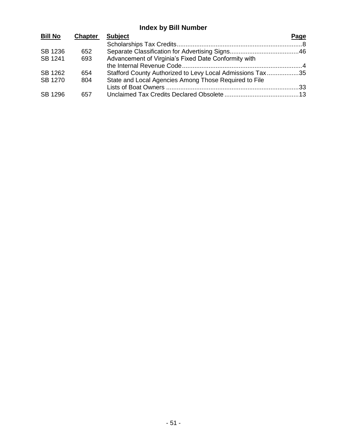# **Index by Bill Number**

| <b>Bill No</b> | <b>Chapter</b> | <b>Subject</b>                                            | <b>Page</b> |
|----------------|----------------|-----------------------------------------------------------|-------------|
|                |                |                                                           |             |
| SB 1236        | 652            |                                                           |             |
| SB 1241        | 693            | Advancement of Virginia's Fixed Date Conformity with      |             |
|                |                |                                                           |             |
| SB 1262        | 654            | Stafford County Authorized to Levy Local Admissions Tax35 |             |
| SB 1270        | 804            | State and Local Agencies Among Those Required to File     |             |
|                |                |                                                           |             |
| SB 1296        | 657            |                                                           |             |
|                |                |                                                           |             |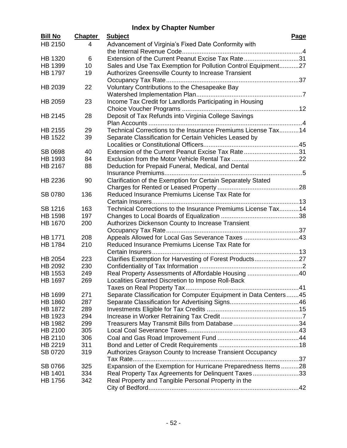# **Index by Chapter Number**

| <b>Bill No</b> | <b>Chapter</b> | <b>Subject</b>                                                   | <b>Page</b> |
|----------------|----------------|------------------------------------------------------------------|-------------|
| HB 2150        | 4              | Advancement of Virginia's Fixed Date Conformity with             |             |
|                |                |                                                                  |             |
| HB 1320        | 6              | Extension of the Current Peanut Excise Tax Rate31                |             |
| HB 1399        | 10             | Sales and Use Tax Exemption for Pollution Control Equipment27    |             |
| <b>HB 1797</b> | 19             | Authorizes Greensville County to Increase Transient              |             |
|                |                |                                                                  |             |
| HB 2039        | 22             | Voluntary Contributions to the Chesapeake Bay                    |             |
|                |                |                                                                  |             |
| HB 2059        | 23             | Income Tax Credit for Landlords Participating in Housing         |             |
|                |                |                                                                  |             |
| HB 2145        | 28             | Deposit of Tax Refunds into Virginia College Savings             |             |
|                |                |                                                                  |             |
| HB 2155        | 29             | Technical Corrections to the Insurance Premiums License Tax14    |             |
| HB 1522        | 39             | Separate Classification for Certain Vehicles Leased by           |             |
|                |                |                                                                  |             |
| SB 0698        | 40             | Extension of the Current Peanut Excise Tax Rate31                |             |
|                | 84             |                                                                  |             |
| HB 1993        |                |                                                                  |             |
| HB 2167        | 88             | Deduction for Prepaid Funeral, Medical, and Dental               |             |
|                |                |                                                                  |             |
| HB 2236        | 90             | Clarification of the Exemption for Certain Separately Stated     |             |
|                |                |                                                                  |             |
| SB 0780        | 136            | Reduced Insurance Premiums License Tax Rate for                  |             |
|                |                |                                                                  |             |
| SB 1216        | 163            | Technical Corrections to the Insurance Premiums License Tax14    |             |
| <b>HB 1598</b> | 197            |                                                                  |             |
| <b>HB 1670</b> | 200            | Authorizes Dickenson County to Increase Transient                |             |
|                |                |                                                                  |             |
| <b>HB 1771</b> | 208            | Appeals Allowed for Local Gas Severance Taxes 43                 |             |
| <b>HB 1784</b> | 210            | Reduced Insurance Premiums License Tax Rate for                  |             |
|                |                |                                                                  |             |
| HB 2054        | 223            | Clarifies Exemption for Harvesting of Forest Products27          |             |
| HB 2092        | 230            |                                                                  |             |
| HB 1553        | 249            | Real Property Assessments of Affordable Housing 40               |             |
| <b>HB 1697</b> | 269            | Localities Granted Discretion to Impose Roll-Back                |             |
|                |                |                                                                  |             |
| HB 1699        | 271            | Separate Classification for Computer Equipment in Data Centers45 |             |
| <b>HB 1860</b> | 287            |                                                                  |             |
| HB 1872        | 289            |                                                                  |             |
| HB 1923        | 294            |                                                                  |             |
| <b>HB 1982</b> | 299            |                                                                  |             |
| HB 2100        | 305            |                                                                  |             |
| HB 2110        | 306            |                                                                  |             |
| HB 2219        | 311            |                                                                  |             |
| SB 0720        | 319            | Authorizes Grayson County to Increase Transient Occupancy        |             |
|                |                |                                                                  |             |
| SB 0766        | 325            | Expansion of the Exemption for Hurricane Preparedness Items28    |             |
| HB 1401        | 334            | Real Property Tax Agreements for Delinquent Taxes33              |             |
| <b>HB 1756</b> | 342            | Real Property and Tangible Personal Property in the              |             |
|                |                |                                                                  |             |
|                |                |                                                                  |             |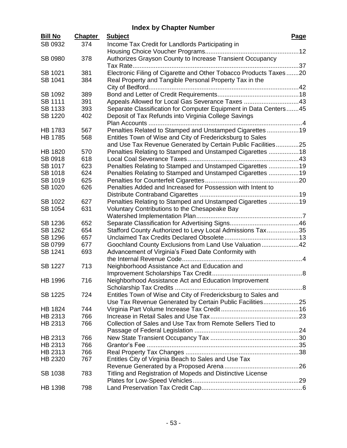# **Index by Chapter Number**

| <b>Bill No</b> | <b>Chapter</b> | <b>Subject</b>                                                    | Page |
|----------------|----------------|-------------------------------------------------------------------|------|
| SB 0932        | 374            | Income Tax Credit for Landlords Participating in                  |      |
| SB 0980        | 378            | Authorizes Grayson County to Increase Transient Occupancy         |      |
| SB 1021        | 381            | Electronic Filing of Cigarette and Other Tobacco Products Taxes20 |      |
| SB 1041        |                |                                                                   |      |
|                | 384            | Real Property and Tangible Personal Property Tax in the           |      |
| SB 1092        | 389            |                                                                   |      |
| <b>SB 1111</b> | 391            | Appeals Allowed for Local Gas Severance Taxes 43                  |      |
| SB 1133        | 393            | Separate Classification for Computer Equipment in Data Centers45  |      |
| SB 1220        | 402            | Deposit of Tax Refunds into Virginia College Savings              |      |
| <b>HB 1783</b> | 567            | Penalties Related to Stamped and Unstamped Cigarettes 19          |      |
| <b>HB 1785</b> | 568            | Entitles Town of Wise and City of Fredericksburg to Sales         |      |
|                |                | and Use Tax Revenue Generated by Certain Public Facilities25      |      |
| <b>HB 1820</b> | 570            | Penalties Relating to Stamped and Unstamped Cigarettes  18        |      |
| SB 0918        | 618            |                                                                   |      |
| SB 1017        | 623            | Penalties Relating to Stamped and Unstamped Cigarettes 19         |      |
| SB 1018        | 624            | Penalties Relating to Stamped and Unstamped Cigarettes 19         |      |
| SB 1019        | 625            |                                                                   |      |
| SB 1020        | 626            | Penalties Added and Increased for Possession with Intent to       |      |
| SB 1022        | 627            | Penalties Relating to Stamped and Unstamped Cigarettes  19        |      |
| SB 1054        | 631            | Voluntary Contributions to the Chesapeake Bay                     |      |
| SB 1236        | 652            |                                                                   |      |
| SB 1262        | 654            | Stafford County Authorized to Levy Local Admissions Tax35         |      |
| SB 1296        | 657            |                                                                   |      |
| SB 0799        | 677            | Goochland County Exclusions from Land Use Valuation 42            |      |
| SB 1241        | 693            | Advancement of Virginia's Fixed Date Conformity with              |      |
|                |                |                                                                   |      |
| SB 1227        | 713            | Neighborhood Assistance Act and Education and                     |      |
|                |                |                                                                   |      |
| HB 1996        | 716            | Neighborhood Assistance Act and Education Improvement             |      |
| SB 1225        | 724            | Entitles Town of Wise and City of Fredericksburg to Sales and     |      |
|                |                | Use Tax Revenue Generated by Certain Public Facilities25          |      |
| <b>HB 1824</b> | 744            |                                                                   |      |
| HB 2313        | 766            |                                                                   |      |
| HB 2313        | 766            | Collection of Sales and Use Tax from Remote Sellers Tied to       |      |
|                |                |                                                                   |      |
| HB 2313        | 766            |                                                                   |      |
| HB 2313        | 766            | Grantor's Fee                                                     |      |
| HB 2313        | 766            |                                                                   |      |
| HB 2320        | 767            | Entitles City of Virginia Beach to Sales and Use Tax              |      |
|                |                |                                                                   |      |
| SB 1038        | 783            | Titling and Registration of Mopeds and Distinctive License        |      |
|                |                |                                                                   |      |
| HB 1398        | 798            |                                                                   |      |